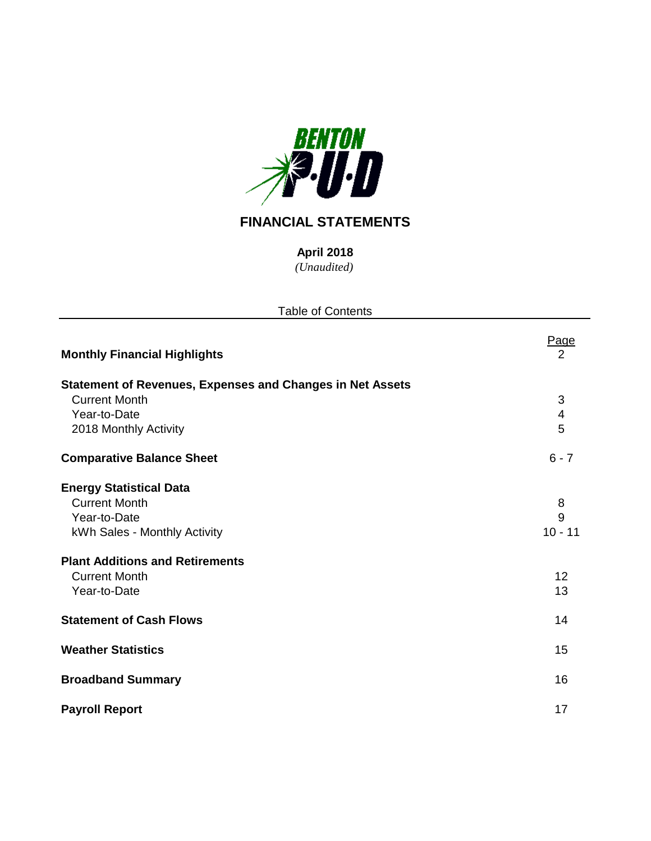

# **FINANCIAL STATEMENTS**

*(Unaudited)* **April 2018**

| <b>Table of Contents</b>                                                                                                                                                                 |                                 |  |  |  |  |  |  |
|------------------------------------------------------------------------------------------------------------------------------------------------------------------------------------------|---------------------------------|--|--|--|--|--|--|
| <b>Monthly Financial Highlights</b>                                                                                                                                                      | Page<br>$\overline{2}$          |  |  |  |  |  |  |
| <b>Statement of Revenues, Expenses and Changes in Net Assets</b><br><b>Current Month</b><br>Year-to-Date<br>2018 Monthly Activity                                                        | 3<br>4<br>5                     |  |  |  |  |  |  |
| <b>Comparative Balance Sheet</b>                                                                                                                                                         | $6 - 7$                         |  |  |  |  |  |  |
| <b>Energy Statistical Data</b><br><b>Current Month</b><br>Year-to-Date<br>kWh Sales - Monthly Activity<br><b>Plant Additions and Retirements</b><br><b>Current Month</b><br>Year-to-Date | 8<br>9<br>$10 - 11$<br>12<br>13 |  |  |  |  |  |  |
| <b>Statement of Cash Flows</b>                                                                                                                                                           | 14                              |  |  |  |  |  |  |
| <b>Weather Statistics</b>                                                                                                                                                                | 15                              |  |  |  |  |  |  |
| <b>Broadband Summary</b>                                                                                                                                                                 | 16                              |  |  |  |  |  |  |
| <b>Payroll Report</b>                                                                                                                                                                    | 17                              |  |  |  |  |  |  |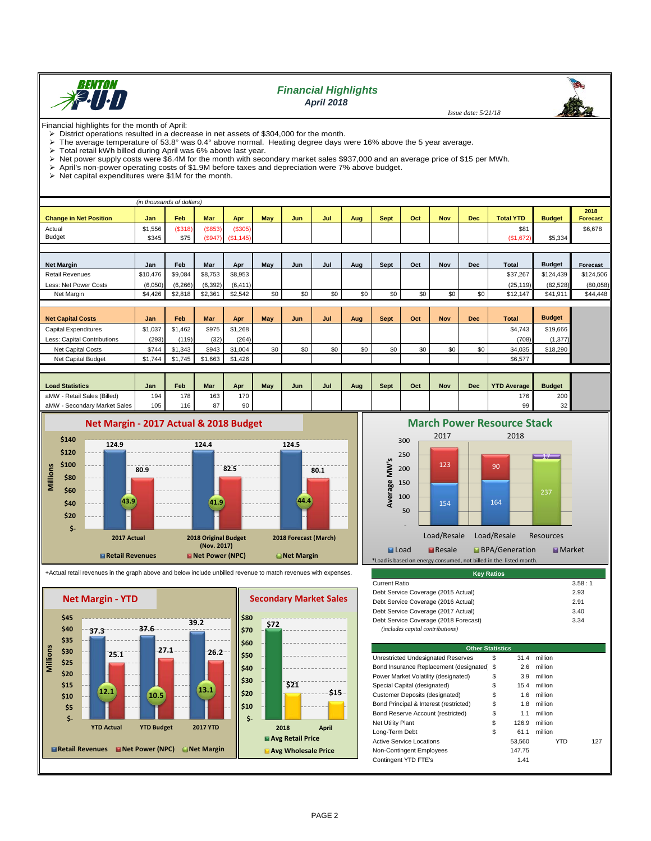

# *Financial Highlights April 2018*

 *Issue date: 5/21/18*

Financial highlights for the month of April:<br>  $\geqslant$  District operations resulted in a decre

- District operations resulted in a decrease in net assets of \$304,000 for the month.<br>
In the average temperature of 53.8° was 0.4° above normal. Heating degree days y The average temperature of 53.8° was 0.4° above normal. Heating degree days were 16% above the 5 year average.<br>> Total retail kWh billed during April was 6% above last year
- $\triangleright$  Total retail kWh billed during April was 6% above last year.<br> $\triangleright$  Net power supply costs were \$6.4M for the month with sec

> Net power supply costs were \$6.4M for the month with secondary market sales \$937,000 and an average price of \$15 per MWh.<br>> April's non-power operating costs of \$1.9M before taxes and depreciation were 7% above budget.

April's non-power operating costs of \$1.9M before taxes and depreciation were 7% above budget.<br>
> Net capital expenditures were \$1M for the month.

Net capital expenditures were \$1M for the month.

|                               | (in thousands of dollars) |          |            |           |            |            |     |     |             |     |            |            |                  |               |                         |
|-------------------------------|---------------------------|----------|------------|-----------|------------|------------|-----|-----|-------------|-----|------------|------------|------------------|---------------|-------------------------|
| <b>Change in Net Position</b> | Jan                       | Feb      | <b>Mar</b> | Apr       | <b>May</b> | <b>Jun</b> | Jul | Aug | <b>Sept</b> | Oct | <b>Nov</b> | <b>Dec</b> | <b>Total YTD</b> | <b>Budget</b> | 2018<br><b>Forecast</b> |
| Actual                        | \$1,556                   | (\$318)  | (\$853)    | (S305)    |            |            |     |     |             |     |            |            | \$81             |               | \$6,678                 |
| <b>Budget</b>                 | \$345                     | \$75     | (S947)     | (S1, 145) |            |            |     |     |             |     |            |            | (\$1,672)        | \$5,334       |                         |
|                               |                           |          |            |           |            |            |     |     |             |     |            |            |                  |               |                         |
|                               |                           |          |            |           |            |            |     |     |             |     |            |            |                  |               |                         |
| <b>Net Margin</b>             | Jan                       | Feb      | Mar        | Apr       | May        | Jun        | Jul | Aug | Sept        | Oct | <b>Nov</b> | <b>Dec</b> | <b>Total</b>     | <b>Budget</b> | Forecast                |
| <b>Retail Revenues</b>        | \$10,476                  | \$9,084  | \$8,753    | \$8,953   |            |            |     |     |             |     |            |            | \$37,267         | \$124,439     | \$124,506               |
| Less: Net Power Costs         | (6,050)                   | (6, 266) | (6, 392)   | (6, 411)  |            |            |     |     |             |     |            |            | (25, 119)        | (82, 528)     | (80,058)                |
| Net Margin                    | \$4,426                   | \$2,818  | \$2,361    | \$2,542   | \$0        | \$0        | \$0 | \$0 | \$0         | \$0 | \$0        | \$0        | \$12,147         | \$41,911      | \$44,448                |
|                               |                           |          |            |           |            |            |     |     |             |     |            |            |                  |               |                         |
| <b>Net Capital Costs</b>      | Jan                       | Feb      | Mar        | Apr       | May        | Jun        | Jul | Aug | Sept        | Oct | <b>Nov</b> | <b>Dec</b> | <b>Total</b>     | <b>Budget</b> |                         |
| <b>Capital Expenditures</b>   | \$1,037                   | \$1,462  | \$975      | \$1,268   |            |            |     |     |             |     |            |            | \$4,743          | \$19,666      |                         |
| Less: Capital Contributions   | (293)                     | (119)    | (32)       | (264)     |            |            |     |     |             |     |            |            | (708)            | (1, 377)      |                         |
| Net Capital Costs             | \$744                     | \$1,343  | \$943      | \$1,004   | \$0        | \$0        | \$0 | \$0 | \$0         | \$0 | \$0        | \$0        | \$4,035          | \$18,290      |                         |
| Net Capital Budget            | \$1,744                   | \$1,745  | \$1,663    | \$1,426   |            |            |     |     |             |     |            |            | \$6,577          |               |                         |
|                               |                           |          |            |           |            |            |     |     |             |     |            |            |                  |               |                         |

| <b>Load Statistics</b>           | Jan | Feb | <b>Mar</b> | Apr | <b>May</b> | Jun | Jul | Aug | Sept | Oct | <b>Nov</b> | Dec | <b>YTD Average   </b> | <b>Budget</b>   |
|----------------------------------|-----|-----|------------|-----|------------|-----|-----|-----|------|-----|------------|-----|-----------------------|-----------------|
| ' - Retail Sales (Billed)<br>aMW | 194 | 178 | 163        | 170 |            |     |     |     |      |     |            |     | 176 I                 | 200             |
| - Secondary Market Sales<br>aMW  | 105 | 116 | 07         | 90  |            |     |     |     |      |     |            |     | 99 I                  | 32 <sub>1</sub> |



+Actual retail revenues in the graph above and below include unbilled revenue to match revenues with expenses.





| <b>Kev Ratios</b>                                                         |        |
|---------------------------------------------------------------------------|--------|
| Current Ratio                                                             | 3.58:1 |
| Debt Service Coverage (2015 Actual)                                       | 2.93   |
| Debt Service Coverage (2016 Actual)                                       | 2.91   |
| Debt Service Coverage (2017 Actual)                                       | 3.40   |
| Debt Service Coverage (2018 Forecast)<br>(includes capital contributions) | 3.34   |

| <b>Other Statistics</b>                   |    |        |         |     |  |  |  |  |  |
|-------------------------------------------|----|--------|---------|-----|--|--|--|--|--|
| Unrestricted Undesignated Reserves        | \$ | 31.4   | million |     |  |  |  |  |  |
| Bond Insurance Replacement (designated \$ |    | 2.6    | million |     |  |  |  |  |  |
| Power Market Volatility (designated)      | \$ | 3.9    | million |     |  |  |  |  |  |
| Special Capital (designated)              | \$ | 15.4   | million |     |  |  |  |  |  |
| Customer Deposits (designated)            | \$ | 1.6    | million |     |  |  |  |  |  |
| Bond Principal & Interest (restricted)    | \$ | 1.8    | million |     |  |  |  |  |  |
| Bond Reserve Account (restricted)         | \$ | 1.1    | million |     |  |  |  |  |  |
| <b>Net Utility Plant</b>                  | S  | 126.9  | million |     |  |  |  |  |  |
| Long-Term Debt                            | \$ | 61.1   | million |     |  |  |  |  |  |
| <b>Active Service Locations</b>           |    | 53.560 | YTD     | 127 |  |  |  |  |  |
| Non-Contingent Employees                  |    | 147.75 |         |     |  |  |  |  |  |
| Contingent YTD FTE's                      |    | 1.41   |         |     |  |  |  |  |  |

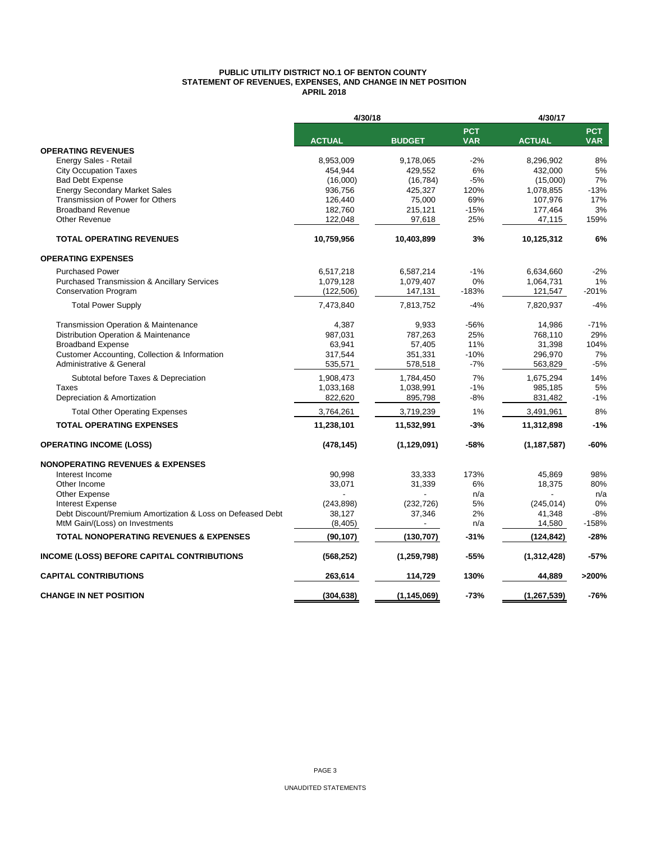#### **PUBLIC UTILITY DISTRICT NO.1 OF BENTON COUNTY STATEMENT OF REVENUES, EXPENSES, AND CHANGE IN NET POSITION APRIL 2018**

|                                                            | 4/30/18       |               |         | 4/30/17<br><b>PCT</b><br><b>VAR</b><br><b>ACTUAL</b> |                          |
|------------------------------------------------------------|---------------|---------------|---------|------------------------------------------------------|--------------------------|
|                                                            | <b>ACTUAL</b> | <b>BUDGET</b> |         |                                                      | <b>PCT</b><br><b>VAR</b> |
| <b>OPERATING REVENUES</b>                                  |               |               |         |                                                      |                          |
| Energy Sales - Retail                                      | 8,953,009     | 9,178,065     | $-2%$   | 8,296,902                                            | 8%                       |
| <b>City Occupation Taxes</b>                               | 454,944       | 429,552       | 6%      | 432,000                                              | 5%                       |
| <b>Bad Debt Expense</b>                                    | (16,000)      | (16, 784)     | $-5%$   | (15,000)                                             | 7%                       |
| <b>Energy Secondary Market Sales</b>                       | 936,756       | 425,327       | 120%    | 1,078,855                                            | $-13%$                   |
| Transmission of Power for Others                           | 126,440       | 75,000        | 69%     | 107,976                                              | 17%                      |
| <b>Broadband Revenue</b>                                   | 182,760       | 215,121       | $-15%$  | 177,464                                              | 3%                       |
| Other Revenue                                              | 122,048       | 97,618        | 25%     | 47,115                                               | 159%                     |
| <b>TOTAL OPERATING REVENUES</b>                            | 10,759,956    | 10,403,899    | 3%      | 10,125,312                                           | 6%                       |
| <b>OPERATING EXPENSES</b>                                  |               |               |         |                                                      |                          |
| <b>Purchased Power</b>                                     | 6,517,218     | 6,587,214     | $-1%$   | 6,634,660                                            | $-2%$                    |
| <b>Purchased Transmission &amp; Ancillary Services</b>     | 1,079,128     | 1,079,407     | 0%      | 1,064,731                                            | 1%                       |
| <b>Conservation Program</b>                                | (122, 506)    | 147,131       | $-183%$ | 121,547                                              | $-201%$                  |
| <b>Total Power Supply</b>                                  | 7,473,840     | 7,813,752     | $-4%$   | 7,820,937                                            | $-4%$                    |
| <b>Transmission Operation &amp; Maintenance</b>            | 4,387         | 9,933         | $-56%$  | 14,986                                               | $-71%$                   |
| Distribution Operation & Maintenance                       | 987,031       | 787,263       | 25%     | 768,110                                              | 29%                      |
| <b>Broadband Expense</b>                                   | 63,941        | 57,405        | 11%     | 31,398                                               | 104%                     |
| Customer Accounting, Collection & Information              | 317,544       | 351,331       | $-10%$  | 296,970                                              | 7%                       |
| Administrative & General                                   | 535,571       | 578,518       | $-7%$   | 563,829                                              | $-5%$                    |
| Subtotal before Taxes & Depreciation                       | 1,908,473     | 1,784,450     | 7%      | 1,675,294                                            | 14%                      |
| Taxes                                                      | 1,033,168     | 1,038,991     | $-1%$   | 985,185                                              | 5%                       |
| Depreciation & Amortization                                | 822,620       | 895,798       | $-8%$   | 831,482                                              | $-1%$                    |
| <b>Total Other Operating Expenses</b>                      | 3,764,261     | 3,719,239     | 1%      | 3,491,961                                            | 8%                       |
| <b>TOTAL OPERATING EXPENSES</b>                            | 11,238,101    | 11,532,991    | $-3%$   | 11,312,898                                           | $-1%$                    |
| <b>OPERATING INCOME (LOSS)</b>                             | (478, 145)    | (1, 129, 091) | -58%    | (1, 187, 587)                                        | $-60%$                   |
| <b>NONOPERATING REVENUES &amp; EXPENSES</b>                |               |               |         |                                                      |                          |
| Interest Income                                            | 90,998        | 33,333        | 173%    | 45,869                                               | 98%                      |
| Other Income                                               | 33,071        | 31,339        | 6%      | 18,375                                               | 80%                      |
| Other Expense                                              |               |               | n/a     |                                                      | n/a                      |
| <b>Interest Expense</b>                                    | (243, 898)    | (232, 726)    | 5%      | (245, 014)                                           | 0%                       |
| Debt Discount/Premium Amortization & Loss on Defeased Debt | 38,127        | 37,346        | 2%      | 41,348                                               | $-8%$                    |
| MtM Gain/(Loss) on Investments                             | (8, 405)      |               | n/a     | 14,580                                               | $-158%$                  |
| <b>TOTAL NONOPERATING REVENUES &amp; EXPENSES</b>          | (90, 107)     | (130, 707)    | $-31%$  | (124, 842)                                           | $-28%$                   |
| <b>INCOME (LOSS) BEFORE CAPITAL CONTRIBUTIONS</b>          | (568, 252)    | (1, 259, 798) | -55%    | (1,312,428)                                          | $-57%$                   |
| <b>CAPITAL CONTRIBUTIONS</b>                               | 263,614       | 114,729       | 130%    | 44,889                                               | >200%                    |
| <b>CHANGE IN NET POSITION</b>                              | (304, 638)    | (1, 145, 069) | $-73%$  | (1, 267, 539)                                        | $-76%$                   |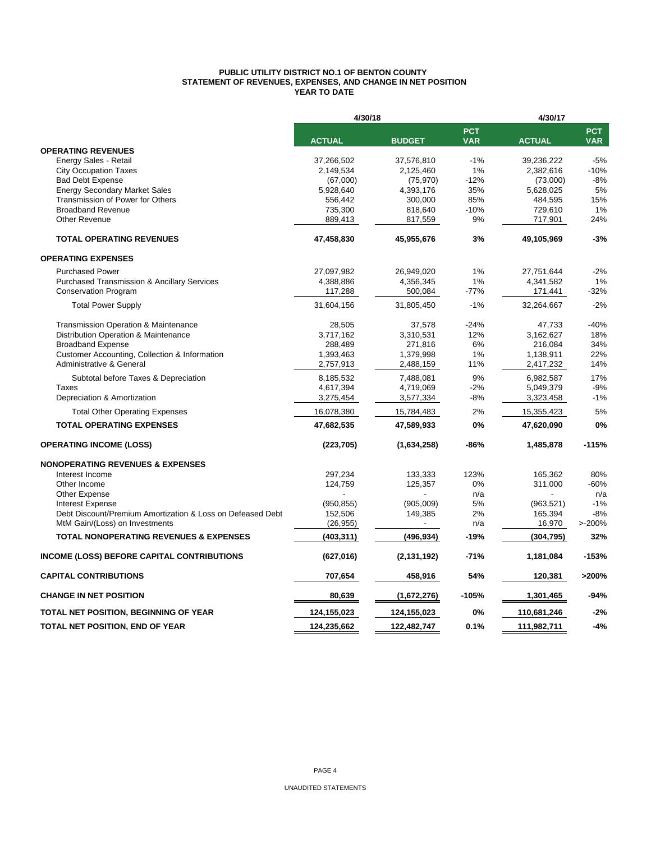#### **PUBLIC UTILITY DISTRICT NO.1 OF BENTON COUNTY STATEMENT OF REVENUES, EXPENSES, AND CHANGE IN NET POSITION YEAR TO DATE**

|                                                            | 4/30/18       |               |                          | 4/30/17       |                          |
|------------------------------------------------------------|---------------|---------------|--------------------------|---------------|--------------------------|
|                                                            | <b>ACTUAL</b> | <b>BUDGET</b> | <b>PCT</b><br><b>VAR</b> | <b>ACTUAL</b> | <b>PCT</b><br><b>VAR</b> |
| <b>OPERATING REVENUES</b>                                  |               |               |                          |               |                          |
| Energy Sales - Retail                                      | 37,266,502    | 37,576,810    | $-1%$                    | 39,236,222    | $-5%$                    |
| <b>City Occupation Taxes</b>                               | 2,149,534     | 2,125,460     | 1%                       | 2,382,616     | $-10%$                   |
| <b>Bad Debt Expense</b>                                    | (67,000)      | (75, 970)     | $-12%$                   | (73,000)      | $-8%$                    |
| <b>Energy Secondary Market Sales</b>                       | 5,928,640     | 4,393,176     | 35%                      | 5,628,025     | 5%                       |
| Transmission of Power for Others                           | 556,442       | 300,000       | 85%                      | 484,595       | 15%                      |
| <b>Broadband Revenue</b>                                   | 735,300       | 818,640       | $-10%$                   | 729,610       | 1%                       |
| Other Revenue                                              | 889,413       | 817,559       | 9%                       | 717,901       | 24%                      |
| <b>TOTAL OPERATING REVENUES</b>                            | 47,458,830    | 45,955,676    | 3%                       | 49,105,969    | $-3%$                    |
| <b>OPERATING EXPENSES</b>                                  |               |               |                          |               |                          |
| <b>Purchased Power</b>                                     | 27,097,982    | 26,949,020    | 1%                       | 27,751,644    | $-2%$                    |
| <b>Purchased Transmission &amp; Ancillary Services</b>     | 4,388,886     | 4,356,345     | 1%                       | 4,341,582     | 1%                       |
| <b>Conservation Program</b>                                | 117,288       | 500,084       | $-77%$                   | 171,441       | $-32%$                   |
| <b>Total Power Supply</b>                                  | 31,604,156    | 31,805,450    | $-1%$                    | 32,264,667    | $-2%$                    |
| Transmission Operation & Maintenance                       | 28,505        | 37,578        | $-24%$                   | 47,733        | $-40%$                   |
| Distribution Operation & Maintenance                       | 3,717,162     | 3,310,531     | 12%                      | 3,162,627     | 18%                      |
| <b>Broadband Expense</b>                                   | 288,489       | 271,816       | 6%                       | 216,084       | 34%                      |
| Customer Accounting, Collection & Information              | 1,393,463     | 1,379,998     | 1%                       | 1,138,911     | 22%                      |
| Administrative & General                                   | 2,757,913     | 2,488,159     | 11%                      | 2,417,232     | 14%                      |
|                                                            |               |               |                          |               |                          |
| Subtotal before Taxes & Depreciation                       | 8,185,532     | 7,488,081     | 9%                       | 6,982,587     | 17%                      |
| <b>Taxes</b>                                               | 4,617,394     | 4,719,069     | $-2%$                    | 5,049,379     | $-9%$                    |
| Depreciation & Amortization                                | 3,275,454     | 3,577,334     | -8%                      | 3,323,458     | $-1%$                    |
| <b>Total Other Operating Expenses</b>                      | 16,078,380    | 15,784,483    | 2%                       | 15,355,423    | 5%                       |
| <b>TOTAL OPERATING EXPENSES</b>                            | 47,682,535    | 47,589,933    | 0%                       | 47,620,090    | 0%                       |
| <b>OPERATING INCOME (LOSS)</b>                             | (223, 705)    | (1,634,258)   | -86%                     | 1,485,878     | $-115%$                  |
| <b>NONOPERATING REVENUES &amp; EXPENSES</b>                |               |               |                          |               |                          |
| Interest Income                                            | 297,234       | 133,333       | 123%                     | 165,362       | 80%                      |
| Other Income                                               | 124,759       | 125,357       | 0%                       | 311,000       | $-60%$                   |
| Other Expense                                              |               |               | n/a                      |               | n/a                      |
| <b>Interest Expense</b>                                    | (950, 855)    | (905,009)     | 5%                       | (963, 521)    | $-1%$                    |
| Debt Discount/Premium Amortization & Loss on Defeased Debt | 152,506       | 149,385       | 2%                       | 165,394       | $-8%$                    |
| MtM Gain/(Loss) on Investments                             | (26, 955)     |               | n/a                      | 16,970        | >200%                    |
| <b>TOTAL NONOPERATING REVENUES &amp; EXPENSES</b>          | (403, 311)    | (496, 934)    | -19%                     | (304,795)     | 32%                      |
| <b>INCOME (LOSS) BEFORE CAPITAL CONTRIBUTIONS</b>          | (627, 016)    | (2, 131, 192) | -71%                     | 1,181,084     | $-153%$                  |
| <b>CAPITAL CONTRIBUTIONS</b>                               | 707,654       | 458,916       | 54%                      | 120,381       | >200%                    |
| <b>CHANGE IN NET POSITION</b>                              | 80,639        | (1,672,276)   | $-105%$                  | 1,301,465     | $-94%$                   |
| <b>TOTAL NET POSITION, BEGINNING OF YEAR</b>               | 124,155,023   | 124,155,023   | 0%                       | 110,681,246   | $-2%$                    |
| <b>TOTAL NET POSITION, END OF YEAR</b>                     | 124,235,662   | 122,482,747   | 0.1%                     | 111,982,711   | $-4%$                    |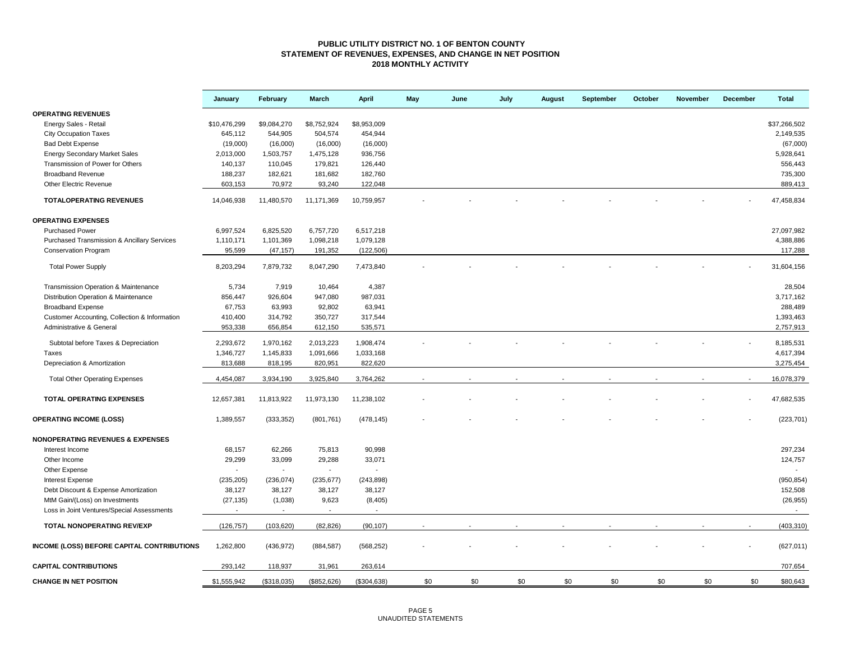#### **PUBLIC UTILITY DISTRICT NO. 1 OF BENTON COUNTY STATEMENT OF REVENUES, EXPENSES, AND CHANGE IN NET POSITION 2018 MONTHLY ACTIVITY**

|                                                   | January                  | February                 | <b>March</b>             | <b>April</b>             | May | June | July | August | September | October | November | December | <b>Total</b>             |
|---------------------------------------------------|--------------------------|--------------------------|--------------------------|--------------------------|-----|------|------|--------|-----------|---------|----------|----------|--------------------------|
| <b>OPERATING REVENUES</b>                         |                          |                          |                          |                          |     |      |      |        |           |         |          |          |                          |
| Energy Sales - Retail                             | \$10,476,299             | \$9,084,270              | \$8,752,924              | \$8,953,009              |     |      |      |        |           |         |          |          | \$37,266,502             |
| <b>City Occupation Taxes</b>                      | 645,112                  | 544,905                  | 504,574                  | 454,944                  |     |      |      |        |           |         |          |          | 2,149,535                |
| <b>Bad Debt Expense</b>                           | (19,000)                 | (16,000)                 | (16,000)                 | (16,000)                 |     |      |      |        |           |         |          |          | (67,000)                 |
| <b>Energy Secondary Market Sales</b>              | 2,013,000                | 1,503,757                | 1,475,128                | 936,756                  |     |      |      |        |           |         |          |          | 5,928,641                |
| Transmission of Power for Others                  | 140,137                  | 110,045                  | 179,821                  | 126,440                  |     |      |      |        |           |         |          |          | 556,443                  |
| <b>Broadband Revenue</b>                          | 188,237                  | 182,621                  | 181,682                  | 182,760                  |     |      |      |        |           |         |          |          | 735,300                  |
| Other Electric Revenue                            | 603,153                  | 70,972                   | 93,240                   | 122,048                  |     |      |      |        |           |         |          |          | 889,413                  |
| <b>TOTALOPERATING REVENUES</b>                    | 14,046,938               | 11,480,570               | 11,171,369               | 10,759,957               |     |      |      |        |           |         |          |          | 47,458,834               |
| <b>OPERATING EXPENSES</b>                         |                          |                          |                          |                          |     |      |      |        |           |         |          |          |                          |
| <b>Purchased Power</b>                            | 6,997,524                | 6,825,520                | 6,757,720                | 6,517,218                |     |      |      |        |           |         |          |          | 27,097,982               |
| Purchased Transmission & Ancillary Services       | 1,110,171                | 1,101,369                | 1,098,218                | 1,079,128                |     |      |      |        |           |         |          |          | 4,388,886                |
| <b>Conservation Program</b>                       | 95,599                   | (47, 157)                | 191,352                  | (122, 506)               |     |      |      |        |           |         |          |          | 117,288                  |
|                                                   |                          |                          |                          |                          |     |      |      |        |           |         |          |          |                          |
| <b>Total Power Supply</b>                         | 8,203,294                | 7,879,732                | 8,047,290                | 7,473,840                |     |      |      |        |           |         |          |          | 31,604,156               |
| Transmission Operation & Maintenance              | 5,734                    | 7,919                    | 10,464                   | 4,387                    |     |      |      |        |           |         |          |          | 28,504                   |
| Distribution Operation & Maintenance              | 856,447                  | 926,604                  | 947,080                  | 987,031                  |     |      |      |        |           |         |          |          | 3,717,162                |
| <b>Broadband Expense</b>                          | 67,753                   | 63,993                   | 92,802                   | 63,941                   |     |      |      |        |           |         |          |          | 288,489                  |
| Customer Accounting, Collection & Information     | 410,400                  | 314,792                  | 350,727                  | 317,544                  |     |      |      |        |           |         |          |          | 1,393,463                |
| Administrative & General                          | 953,338                  | 656,854                  | 612,150                  | 535,571                  |     |      |      |        |           |         |          |          | 2,757,913                |
|                                                   |                          |                          |                          |                          |     |      |      |        |           |         |          |          |                          |
| Subtotal before Taxes & Depreciation              | 2,293,672                | 1,970,162                | 2,013,223                | 1,908,474                |     |      |      |        |           |         |          |          | 8,185,531                |
| Taxes                                             | 1,346,727                | 1,145,833                | 1,091,666                | 1,033,168                |     |      |      |        |           |         |          |          | 4,617,394                |
| Depreciation & Amortization                       | 813,688                  | 818,195                  | 820,951                  | 822,620                  |     |      |      |        |           |         |          |          | 3,275,454                |
| <b>Total Other Operating Expenses</b>             | 4,454,087                | 3,934,190                | 3,925,840                | 3,764,262                |     |      |      |        |           |         |          |          | 16,078,379               |
| <b>TOTAL OPERATING EXPENSES</b>                   | 12,657,381               | 11,813,922               | 11,973,130               | 11,238,102               |     |      |      |        |           |         |          |          | 47,682,535               |
| <b>OPERATING INCOME (LOSS)</b>                    | 1,389,557                | (333, 352)               | (801, 761)               | (478, 145)               |     |      |      |        |           |         |          |          | (223, 701)               |
| <b>NONOPERATING REVENUES &amp; EXPENSES</b>       |                          |                          |                          |                          |     |      |      |        |           |         |          |          |                          |
| Interest Income                                   | 68,157                   | 62,266                   | 75,813                   | 90,998                   |     |      |      |        |           |         |          |          | 297,234                  |
| Other Income                                      | 29,299                   | 33,099                   | 29,288                   | 33,071                   |     |      |      |        |           |         |          |          | 124,757                  |
| Other Expense                                     | $\overline{\phantom{a}}$ | $\blacksquare$           | $\overline{\phantom{a}}$ | $\blacksquare$           |     |      |      |        |           |         |          |          |                          |
| <b>Interest Expense</b>                           | (235, 205)               | (236, 074)               | (235, 677)               | (243, 898)               |     |      |      |        |           |         |          |          | (950, 854)               |
| Debt Discount & Expense Amortization              | 38,127                   | 38,127                   | 38,127                   | 38,127                   |     |      |      |        |           |         |          |          | 152,508                  |
| MtM Gain/(Loss) on Investments                    | (27, 135)                | (1,038)                  | 9,623                    | (8, 405)                 |     |      |      |        |           |         |          |          | (26, 955)                |
| Loss in Joint Ventures/Special Assessments        |                          | $\overline{\phantom{a}}$ | $\blacksquare$           | $\overline{\phantom{a}}$ |     |      |      |        |           |         |          |          | $\overline{\phantom{a}}$ |
| <b>TOTAL NONOPERATING REV/EXP</b>                 | (126, 757)               | (103, 620)               | (82, 826)                | (90, 107)                |     |      |      |        |           |         |          |          | (403, 310)               |
|                                                   |                          |                          |                          |                          |     |      |      |        |           |         |          |          |                          |
| <b>INCOME (LOSS) BEFORE CAPITAL CONTRIBUTIONS</b> | 1,262,800                | (436, 972)               | (884, 587)               | (568, 252)               |     |      |      |        |           |         |          |          | (627, 011)               |
| <b>CAPITAL CONTRIBUTIONS</b>                      | 293,142                  | 118,937                  | 31,961                   | 263,614                  |     |      |      |        |           |         |          |          | 707,654                  |
| <b>CHANGE IN NET POSITION</b>                     | \$1,555,942              | (\$318,035)              | (\$852, 626)             | (\$304,638)              | \$0 | \$0  | \$0  | \$0    | \$0       | \$0     | \$0      | \$0      | \$80,643                 |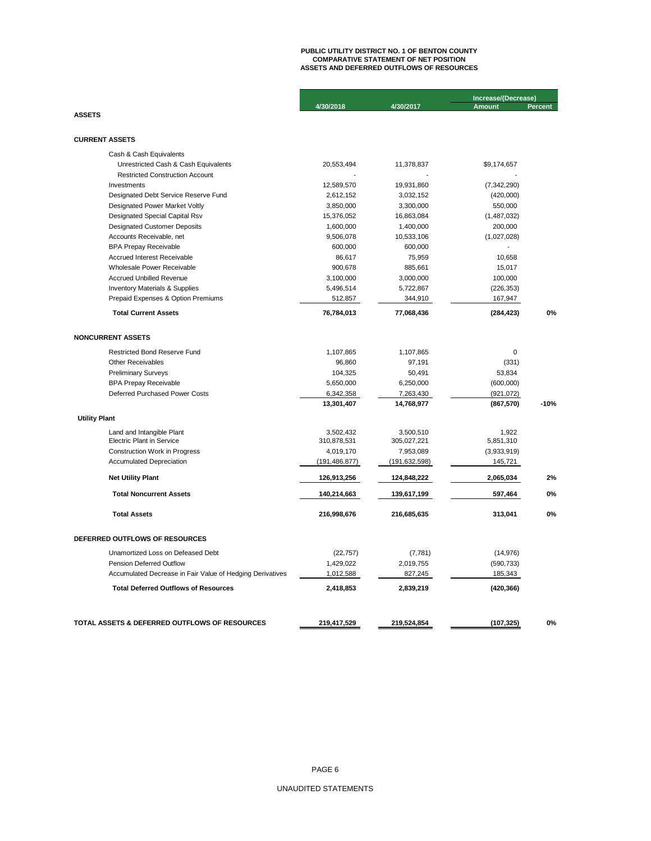# **PUBLIC UTILITY DISTRICT NO. 1 OF BENTON COUNTY COMPARATIVE STATEMENT OF NET POSITION ASSETS AND DEFERRED OUTFLOWS OF RESOURCES**

|                                                           |                 |                 | Increase/(Decrease) |                |  |
|-----------------------------------------------------------|-----------------|-----------------|---------------------|----------------|--|
|                                                           | 4/30/2018       | 4/30/2017       | <b>Amount</b>       | <b>Percent</b> |  |
| <b>ASSETS</b>                                             |                 |                 |                     |                |  |
| <b>CURRENT ASSETS</b>                                     |                 |                 |                     |                |  |
| Cash & Cash Equivalents                                   |                 |                 |                     |                |  |
| Unrestricted Cash & Cash Equivalents                      | 20,553,494      | 11,378,837      | \$9,174,657         |                |  |
| <b>Restricted Construction Account</b>                    |                 |                 |                     |                |  |
| Investments                                               | 12,589,570      | 19,931,860      | (7, 342, 290)       |                |  |
| Designated Debt Service Reserve Fund                      | 2,612,152       | 3,032,152       | (420,000)           |                |  |
| Designated Power Market Voltly                            | 3,850,000       | 3,300,000       | 550,000             |                |  |
| Designated Special Capital Rsv                            | 15,376,052      | 16,863,084      | (1,487,032)         |                |  |
| <b>Designated Customer Deposits</b>                       | 1,600,000       | 1,400,000       | 200,000             |                |  |
| Accounts Receivable, net                                  | 9,506,078       | 10,533,106      | (1,027,028)         |                |  |
| <b>BPA Prepay Receivable</b>                              | 600,000         | 600,000         |                     |                |  |
| Accrued Interest Receivable                               | 86,617          | 75,959          | 10,658              |                |  |
| Wholesale Power Receivable                                | 900,678         | 885,661         | 15,017              |                |  |
| <b>Accrued Unbilled Revenue</b>                           | 3,100,000       | 3,000,000       | 100,000             |                |  |
| <b>Inventory Materials &amp; Supplies</b>                 | 5,496,514       | 5,722,867       | (226, 353)          |                |  |
| Prepaid Expenses & Option Premiums                        | 512,857         | 344,910         | 167,947             |                |  |
| <b>Total Current Assets</b>                               | 76,784,013      | 77,068,436      | (284, 423)          | 0%             |  |
| <b>NONCURRENT ASSETS</b>                                  |                 |                 |                     |                |  |
| <b>Restricted Bond Reserve Fund</b>                       | 1,107,865       | 1,107,865       | $\Omega$            |                |  |
| <b>Other Receivables</b>                                  | 96,860          | 97,191          | (331)               |                |  |
| <b>Preliminary Surveys</b>                                | 104,325         | 50,491          | 53,834              |                |  |
| <b>BPA Prepay Receivable</b>                              | 5,650,000       | 6,250,000       | (600,000)           |                |  |
| Deferred Purchased Power Costs                            | 6,342,358       | 7,263,430       | (921, 072)          |                |  |
|                                                           | 13,301,407      | 14,768,977      | (867, 570)          | $-10%$         |  |
| <b>Utility Plant</b>                                      |                 |                 |                     |                |  |
| Land and Intangible Plant                                 | 3,502,432       | 3,500,510       | 1,922               |                |  |
| <b>Electric Plant in Service</b>                          | 310,878,531     | 305,027,221     | 5,851,310           |                |  |
| <b>Construction Work in Progress</b>                      | 4,019,170       | 7,953,089       | (3,933,919)         |                |  |
| <b>Accumulated Depreciation</b>                           | (191, 486, 877) | (191, 632, 598) | 145,721             |                |  |
| <b>Net Utility Plant</b>                                  | 126,913,256     | 124,848,222     | 2,065,034           | 2%             |  |
| <b>Total Noncurrent Assets</b>                            | 140,214,663     | 139,617,199     | 597,464             | 0%             |  |
| <b>Total Assets</b>                                       | 216,998,676     | 216,685,635     | 313,041             | 0%             |  |
| DEFERRED OUTFLOWS OF RESOURCES                            |                 |                 |                     |                |  |
| Unamortized Loss on Defeased Debt                         | (22, 757)       | (7, 781)        | (14, 976)           |                |  |
| <b>Pension Deferred Outflow</b>                           | 1,429,022       | 2,019,755       | (590, 733)          |                |  |
| Accumulated Decrease in Fair Value of Hedging Derivatives | 1,012,588       | 827,245         | 185,343             |                |  |
| <b>Total Deferred Outflows of Resources</b>               | 2,418,853       | 2,839,219       | (420, 366)          |                |  |
|                                                           |                 |                 |                     |                |  |
| TOTAL ASSETS & DEFERRED OUTFLOWS OF RESOURCES             | 219,417,529     | 219,524,854     | (107,325)           | 0%             |  |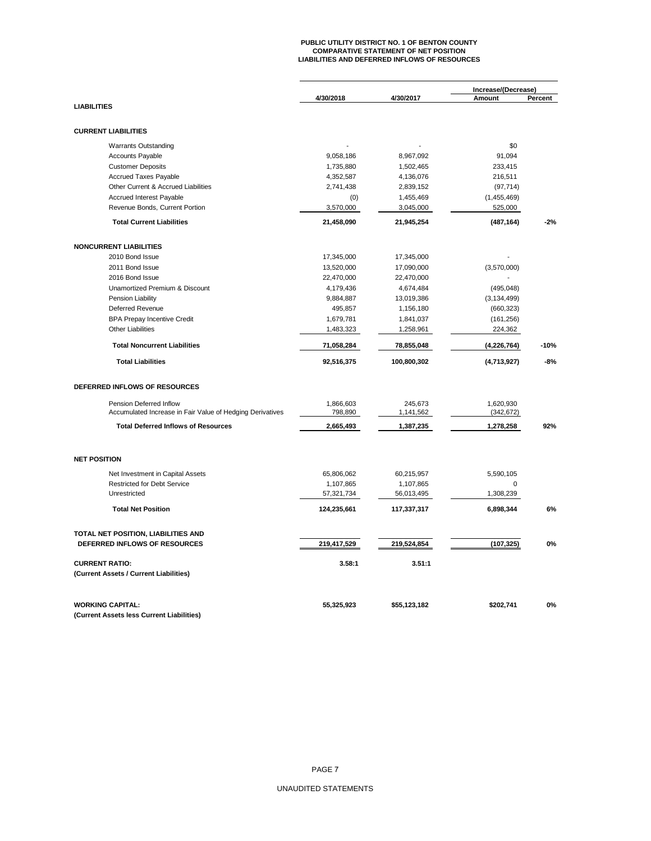# **PUBLIC UTILITY DISTRICT NO. 1 OF BENTON COUNTY COMPARATIVE STATEMENT OF NET POSITION LIABILITIES AND DEFERRED INFLOWS OF RESOURCES**

|                                                           |             |                         | Increase/(Decrease) |         |
|-----------------------------------------------------------|-------------|-------------------------|---------------------|---------|
| <b>LIABILITIES</b>                                        | 4/30/2018   | 4/30/2017               | Amount              | Percent |
|                                                           |             |                         |                     |         |
| <b>CURRENT LIABILITIES</b>                                |             |                         |                     |         |
| <b>Warrants Outstanding</b>                               |             |                         | \$0                 |         |
| <b>Accounts Payable</b>                                   | 9,058,186   | 8,967,092               | 91,094              |         |
| <b>Customer Deposits</b>                                  | 1,735,880   | 1,502,465               | 233,415             |         |
| <b>Accrued Taxes Payable</b>                              | 4,352,587   | 4,136,076               | 216,511             |         |
| Other Current & Accrued Liabilities                       | 2,741,438   | 2,839,152               | (97, 714)           |         |
| Accrued Interest Payable                                  | (0)         | 1,455,469               | (1,455,469)         |         |
| Revenue Bonds, Current Portion                            | 3,570,000   | 3,045,000               | 525,000             |         |
| <b>Total Current Liabilities</b>                          | 21,458,090  | 21,945,254              | (487, 164)          | $-2%$   |
| <b>NONCURRENT LIABILITIES</b>                             |             |                         |                     |         |
| 2010 Bond Issue                                           | 17,345,000  | 17,345,000              |                     |         |
| 2011 Bond Issue                                           | 13,520,000  | 17,090,000              | (3,570,000)         |         |
| 2016 Bond Issue                                           | 22,470,000  | 22,470,000              |                     |         |
| Unamortized Premium & Discount                            | 4,179,436   | 4,674,484               | (495, 048)          |         |
| Pension Liability                                         | 9,884,887   | 13,019,386              | (3, 134, 499)       |         |
| Deferred Revenue                                          | 495,857     | 1,156,180               | (660, 323)          |         |
| <b>BPA Prepay Incentive Credit</b>                        | 1,679,781   | 1,841,037               | (161, 256)          |         |
| <b>Other Liabilities</b>                                  | 1,483,323   | 1,258,961               | 224,362             |         |
| <b>Total Noncurrent Liabilities</b>                       | 71,058,284  | 78,855,048              | (4,226,764)         | $-10%$  |
| <b>Total Liabilities</b>                                  | 92,516,375  | 100,800,302             | (4,713,927)         | $-8%$   |
| DEFERRED INFLOWS OF RESOURCES                             |             |                         |                     |         |
| Pension Deferred Inflow                                   | 1,866,603   | 245,673                 | 1,620,930           |         |
| Accumulated Increase in Fair Value of Hedging Derivatives | 798,890     | 1,141,562               | (342, 672)          |         |
| <b>Total Deferred Inflows of Resources</b>                | 2,665,493   | 1,387,235               | 1,278,258           | 92%     |
| <b>NET POSITION</b>                                       |             |                         |                     |         |
| Net Investment in Capital Assets                          | 65,806,062  |                         |                     |         |
| <b>Restricted for Debt Service</b>                        | 1,107,865   | 60,215,957<br>1,107,865 | 5,590,105<br>0      |         |
| Unrestricted                                              | 57,321,734  | 56,013,495              | 1,308,239           |         |
| <b>Total Net Position</b>                                 | 124,235,661 | 117,337,317             | 6,898,344           | 6%      |
|                                                           |             |                         |                     |         |
| TOTAL NET POSITION, LIABILITIES AND                       |             |                         |                     |         |
| DEFERRED INFLOWS OF RESOURCES                             | 219,417,529 | 219,524,854             | (107, 325)          | 0%      |
| <b>CURRENT RATIO:</b>                                     | 3.58:1      | 3.51:1                  |                     |         |
| (Current Assets / Current Liabilities)                    |             |                         |                     |         |
| <b>WORKING CAPITAL:</b>                                   | 55,325,923  | \$55,123,182            | \$202,741           | 0%      |
| (Current Assets less Current Liabilities)                 |             |                         |                     |         |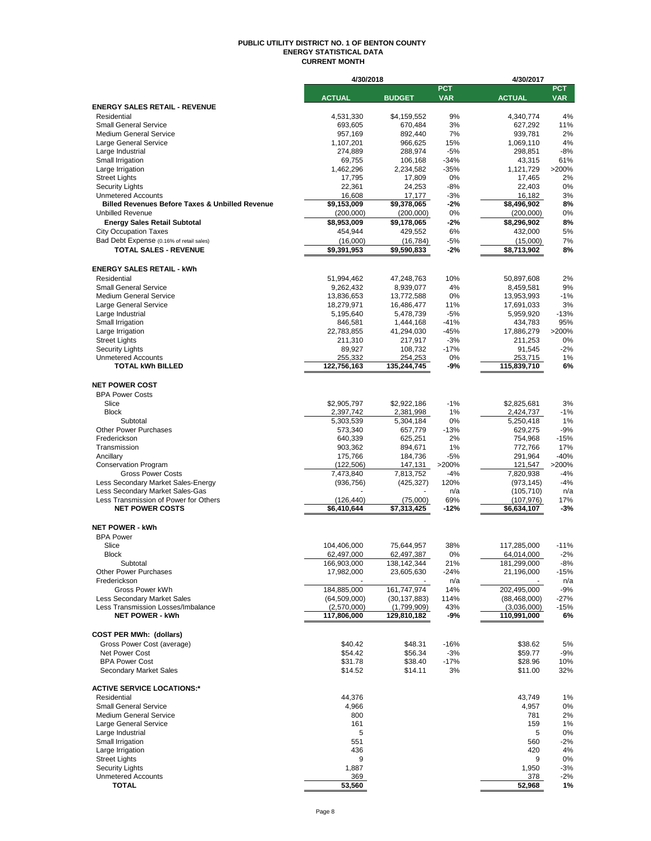#### **PUBLIC UTILITY DISTRICT NO. 1 OF BENTON COUNTY ENERGY STATISTICAL DATA CURRENT MONTH**

|                                                               | 4/30/2018          |                    |            | 4/30/2017               |            |
|---------------------------------------------------------------|--------------------|--------------------|------------|-------------------------|------------|
|                                                               |                    |                    | <b>PCT</b> |                         | <b>PCT</b> |
|                                                               | <b>ACTUAL</b>      | <b>BUDGET</b>      | <b>VAR</b> | <b>ACTUAL</b>           | <b>VAR</b> |
| <b>ENERGY SALES RETAIL - REVENUE</b>                          |                    |                    |            |                         |            |
| Residential                                                   | 4,531,330          | \$4,159,552        | 9%         | 4,340,774               | 4%         |
| <b>Small General Service</b><br><b>Medium General Service</b> | 693,605<br>957,169 | 670,484<br>892,440 | 3%<br>7%   | 627,292<br>939,781      | 11%<br>2%  |
| Large General Service                                         | 1,107,201          | 966,625            | 15%        | 1,069,110               | 4%         |
| Large Industrial                                              | 274,889            | 288,974            | $-5%$      | 298,851                 | $-8%$      |
| Small Irrigation                                              | 69,755             | 106,168            | $-34%$     | 43,315                  | 61%        |
| Large Irrigation                                              | 1,462,296          | 2,234,582          | $-35%$     | 1,121,729               | >200%      |
| <b>Street Lights</b>                                          | 17,795             | 17,809             | 0%         | 17,465                  | 2%         |
| <b>Security Lights</b>                                        | 22,361             | 24,253             | $-8%$      | 22,403                  | 0%         |
| <b>Unmetered Accounts</b>                                     | 16,608             | 17,177             | $-3%$      | 16,182                  | 3%         |
| <b>Billed Revenues Before Taxes &amp; Unbilled Revenue</b>    | \$9,153,009        | \$9,378,065        | $-2%$      | \$8,496,902             | 8%         |
| <b>Unbilled Revenue</b>                                       | (200,000)          | (200,000)          | 0%         | (200,000)               | 0%         |
| <b>Energy Sales Retail Subtotal</b>                           | \$8,953,009        | \$9,178,065        | -2%        | \$8,296,902             | 8%         |
| <b>City Occupation Taxes</b>                                  | 454,944            | 429,552            | 6%         | 432,000                 | 5%         |
| Bad Debt Expense (0.16% of retail sales)                      | (16,000)           | (16, 784)          | $-5%$      | (15,000)                | 7%         |
| <b>TOTAL SALES - REVENUE</b>                                  | \$9,391,953        | \$9,590,833        | $-2%$      | \$8,713,902             | 8%         |
|                                                               |                    |                    |            |                         |            |
| <b>ENERGY SALES RETAIL - kWh</b>                              |                    |                    |            |                         |            |
| Residential                                                   | 51,994,462         | 47,248,763         | 10%        |                         | 2%         |
| <b>Small General Service</b>                                  |                    |                    | 4%         | 50,897,608<br>8,459,581 | 9%         |
| <b>Medium General Service</b>                                 | 9,262,432          | 8,939,077          | 0%         |                         | $-1%$      |
|                                                               | 13,836,653         | 13,772,588         |            | 13,953,993              |            |
| Large General Service                                         | 18,279,971         | 16,486,477         | 11%        | 17,691,033              | 3%         |
| Large Industrial                                              | 5,195,640          | 5,478,739          | $-5%$      | 5,959,920               | $-13%$     |
| Small Irrigation                                              | 846,581            | 1,444,168          | $-41%$     | 434,783                 | 95%        |
| Large Irrigation                                              | 22,783,855         | 41,294,030         | $-45%$     | 17,886,279              | >200%      |
| <b>Street Lights</b>                                          | 211,310            | 217,917            | $-3%$      | 211,253                 | 0%         |
| <b>Security Lights</b>                                        | 89,927             | 108,732            | $-17%$     | 91,545                  | $-2%$      |
| <b>Unmetered Accounts</b>                                     | 255,332            | 254,253            | 0%         | 253,715                 | 1%         |
| <b>TOTAL kWh BILLED</b>                                       | 122,756,163        | 135,244,745        | -9%        | 115,839,710             | 6%         |
|                                                               |                    |                    |            |                         |            |
| <b>NET POWER COST</b>                                         |                    |                    |            |                         |            |
| <b>BPA Power Costs</b>                                        |                    |                    |            |                         |            |
| Slice                                                         | \$2,905,797        | \$2,922,186        | $-1%$      | \$2,825,681             | 3%         |
| <b>Block</b>                                                  | 2,397,742          | 2,381,998          | 1%         | 2,424,737               | $-1%$      |
| Subtotal                                                      | 5,303,539          | 5,304,184          | 0%         | 5,250,418               | 1%         |
| <b>Other Power Purchases</b>                                  | 573,340            | 657,779            | $-13%$     | 629,275                 | $-9%$      |
| Frederickson                                                  | 640,339            | 625,251            | 2%         | 754,968                 | $-15%$     |
| Transmission                                                  | 903,362            | 894,671            | 1%         | 772,766                 | 17%        |
| Ancillary                                                     | 175,766            | 184,736            | $-5%$      | 291,964                 | $-40%$     |
| <b>Conservation Program</b>                                   | (122, 506)         | 147,131            | >200%      | 121,547                 | >200%      |
| <b>Gross Power Costs</b>                                      | 7,473,840          | 7,813,752          | $-4%$      | 7,820,938               | $-4%$      |
| Less Secondary Market Sales-Energy                            | (936, 756)         | (425, 327)         | 120%       | (973, 145)              | $-4%$      |
| Less Secondary Market Sales-Gas                               |                    |                    | n/a        | (105, 710)              | n/a        |
| Less Transmission of Power for Others                         | (126, 440)         | (75,000)           | 69%        | (107, 976)              | 17%        |
| <b>NET POWER COSTS</b>                                        | \$6,410,644        | \$7,313,425        | $-12%$     | \$6,634,107             | $-3%$      |
|                                                               |                    |                    |            |                         |            |
| <b>NET POWER - kWh</b>                                        |                    |                    |            |                         |            |
| <b>BPA Power</b>                                              |                    |                    |            |                         |            |
| Slice                                                         | 104,406,000        | 75,644,957         | 38%        | 117,285,000             | $-11%$     |
| <b>Block</b>                                                  | 62,497,000         | 62,497,387         | 0%         | 64,014,000              | $-2%$      |
| Subtotal                                                      | 166,903,000        | 138, 142, 344      | 21%        | 181,299,000             | $-8%$      |
| Other Power Purchases                                         | 17,982,000         | 23,605,630         | -24%       | 21,196,000              | $-15%$     |
| Frederickson                                                  |                    |                    | n/a        |                         | n/a        |
| Gross Power kWh                                               | 184,885,000        | 161,747,974        | 14%        | 202,495,000             | $-9%$      |
| Less Secondary Market Sales                                   | (64, 509, 000)     | (30, 137, 883)     | 114%       | (88, 468, 000)          | -27%       |
| Less Transmission Losses/Imbalance                            | (2,570,000)        | (1,799,909)        | 43%        | (3,036,000)             | $-15%$     |
| <b>NET POWER - kWh</b>                                        | 117,806,000        | 129,810,182        | -9%        | 110,991,000             | 6%         |
|                                                               |                    |                    |            |                         |            |
| <b>COST PER MWh: (dollars)</b>                                |                    |                    |            |                         |            |
| Gross Power Cost (average)                                    | \$40.42            | \$48.31            | $-16%$     | \$38.62                 | 5%         |
| Net Power Cost                                                | \$54.42            | \$56.34            | $-3%$      | \$59.77                 | $-9%$      |
| <b>BPA Power Cost</b>                                         | \$31.78            | \$38.40            | $-17%$     | \$28.96                 | 10%        |
| <b>Secondary Market Sales</b>                                 | \$14.52            | \$14.11            | 3%         | \$11.00                 | 32%        |
|                                                               |                    |                    |            |                         |            |
| <b>ACTIVE SERVICE LOCATIONS:*</b>                             |                    |                    |            |                         |            |
| Residential                                                   | 44,376             |                    |            | 43,749                  | 1%         |
| <b>Small General Service</b>                                  | 4,966              |                    |            | 4,957                   | 0%         |
| <b>Medium General Service</b>                                 | 800                |                    |            | 781                     | 2%         |
| Large General Service                                         | 161                |                    |            | 159                     | 1%         |
| Large Industrial                                              | 5                  |                    |            | 5                       | 0%         |
| Small Irrigation                                              | 551                |                    |            | 560                     | $-2%$      |
| Large Irrigation                                              | 436                |                    |            | 420                     | 4%         |
| <b>Street Lights</b>                                          | 9                  |                    |            | 9                       | 0%         |
| <b>Security Lights</b>                                        | 1,887              |                    |            | 1,950                   | $-3%$      |
| <b>Unmetered Accounts</b>                                     | 369                |                    |            | 378                     | -2%        |
| TOTAL                                                         | 53,560             |                    |            | 52,968                  | 1%         |
|                                                               |                    |                    |            |                         |            |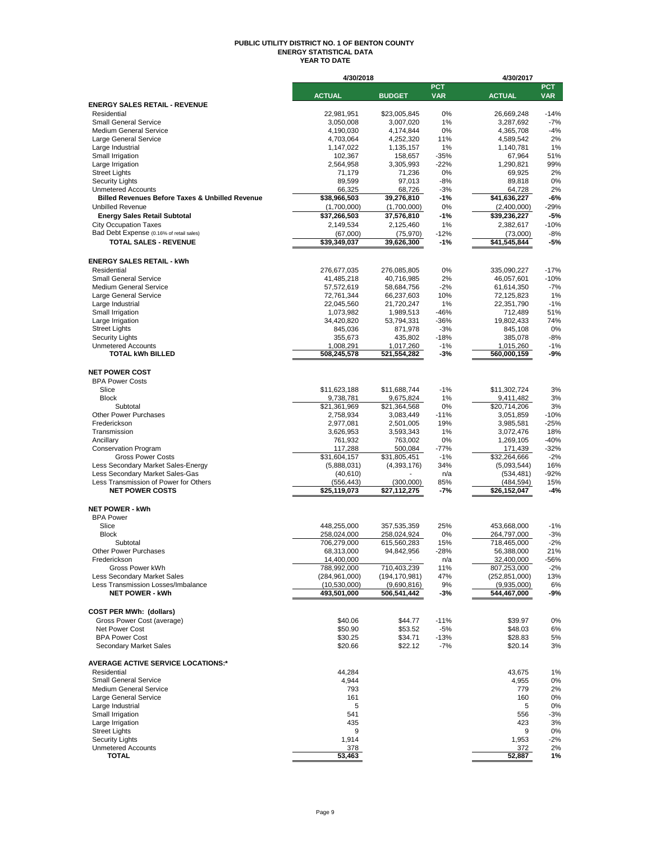#### **PUBLIC UTILITY DISTRICT NO. 1 OF BENTON COUNTY ENERGY STATISTICAL DATA YEAR TO DATE**

|                                                                 | 4/30/2018                   |                           |                          | 4/30/2017                   |                   |
|-----------------------------------------------------------------|-----------------------------|---------------------------|--------------------------|-----------------------------|-------------------|
|                                                                 | <b>ACTUAL</b>               | <b>BUDGET</b>             | <b>PCT</b><br><b>VAR</b> | <b>ACTUAL</b>               | PCT<br><b>VAR</b> |
| <b>ENERGY SALES RETAIL - REVENUE</b>                            |                             |                           |                          |                             |                   |
| Residential                                                     | 22,981,951                  | \$23,005,845              | 0%                       | 26,669,248                  | $-14%$            |
| <b>Small General Service</b>                                    | 3,050,008                   | 3,007,020                 | 1%                       | 3,287,692                   | $-7%$             |
| <b>Medium General Service</b>                                   | 4,190,030                   | 4,174,844                 | 0%                       | 4,365,708                   | $-4%$             |
| Large General Service                                           | 4,703,064                   | 4,252,320                 | 11%                      | 4,589,542                   | 2%                |
| Large Industrial<br>Small Irrigation                            | 1,147,022<br>102,367        | 1,135,157<br>158,657      | 1%<br>$-35%$             | 1,140,781<br>67,964         | 1%<br>51%         |
| Large Irrigation                                                | 2,564,958                   | 3,305,993                 | $-22%$                   | 1,290,821                   | 99%               |
| <b>Street Lights</b>                                            | 71,179                      | 71,236                    | 0%                       | 69,925                      | 2%                |
| <b>Security Lights</b>                                          | 89,599                      | 97,013                    | $-8%$                    | 89,818                      | 0%                |
| <b>Unmetered Accounts</b>                                       | 66,325                      | 68,726                    | $-3%$                    | 64,728                      | 2%                |
| <b>Billed Revenues Before Taxes &amp; Unbilled Revenue</b>      | \$38,966,503                | 39,276,810                | $-1%$                    | \$41,636,227                | -6%               |
| <b>Unbilled Revenue</b><br><b>Energy Sales Retail Subtotal</b>  | (1,700,000)<br>\$37,266,503 | (1,700,000)               | 0%<br>-1%                | (2,400,000)<br>\$39,236,227 | $-29%$<br>$-5%$   |
| <b>City Occupation Taxes</b>                                    | 2,149,534                   | 37,576,810<br>2,125,460   | 1%                       | 2,382,617                   | $-10%$            |
| Bad Debt Expense (0.16% of retail sales)                        | (67,000)                    | (75,970)                  | $-12%$                   | (73,000)                    | $-8%$             |
| <b>TOTAL SALES - REVENUE</b>                                    | \$39,349,037                | 39,626,300                | $-1%$                    | \$41,545,844                | $-5%$             |
|                                                                 |                             |                           |                          |                             |                   |
| <b>ENERGY SALES RETAIL - kWh</b>                                |                             |                           |                          |                             |                   |
| Residential                                                     | 276,677,035                 | 276,085,805               | 0%                       | 335,090,227                 | $-17%$            |
| <b>Small General Service</b>                                    | 41,485,218                  | 40,716,985                | 2%                       | 46,057,601                  | $-10%$            |
| <b>Medium General Service</b>                                   | 57,572,619                  | 58,684,756                | $-2%$                    | 61,614,350                  | $-7%$             |
| Large General Service<br>Large Industrial                       | 72,761,344<br>22,045,560    | 66,237,603<br>21,720,247  | 10%<br>1%                | 72,125,823<br>22,351,790    | 1%<br>$-1%$       |
| Small Irrigation                                                | 1,073,982                   | 1,989,513                 | $-46%$                   | 712,489                     | 51%               |
| Large Irrigation                                                | 34,420,820                  | 53,794,331                | $-36%$                   | 19,802,433                  | 74%               |
| <b>Street Lights</b>                                            | 845,036                     | 871,978                   | $-3%$                    | 845,108                     | 0%                |
| <b>Security Lights</b>                                          | 355,673                     | 435,802                   | $-18%$                   | 385,078                     | $-8%$             |
| <b>Unmetered Accounts</b>                                       | 1,008,291                   | 1,017,260                 | $-1%$                    | 1,015,260                   | $-1%$             |
| <b>TOTAL kWh BILLED</b>                                         | 508,245,578                 | 521,554,282               | -3%                      | 560,000,159                 | -9%               |
| <b>NET POWER COST</b>                                           |                             |                           |                          |                             |                   |
| <b>BPA Power Costs</b>                                          |                             |                           |                          |                             |                   |
| Slice                                                           | \$11,623,188                | \$11,688,744              | $-1%$                    | \$11,302,724                | 3%                |
| <b>Block</b>                                                    | 9,738,781                   | 9,675,824                 | 1%                       | 9,411,482                   | 3%                |
| Subtotal                                                        | \$21,361,969                | \$21,364,568              | 0%                       | \$20,714,206                | 3%                |
| <b>Other Power Purchases</b>                                    | 2,758,934                   | 3,083,449                 | $-11%$                   | 3,051,859                   | $-10%$            |
| Frederickson<br>Transmission                                    | 2,977,081<br>3,626,953      | 2,501,005<br>3,593,343    | 19%<br>1%                | 3,985,581<br>3,072,476      | $-25%$<br>18%     |
| Ancillary                                                       | 761,932                     | 763,002                   | 0%                       | 1,269,105                   | $-40%$            |
| <b>Conservation Program</b>                                     | 117,288                     | 500,084                   | $-77%$                   | 171,439                     | $-32%$            |
| <b>Gross Power Costs</b>                                        | \$31,604,157                | \$31,805,451              | $-1%$                    | \$32,264,666                | $-2%$             |
| Less Secondary Market Sales-Energy                              | (5,888,031)                 | (4,393,176)               | 34%                      | (5,093,544)                 | 16%               |
| Less Secondary Market Sales-Gas                                 | (40, 610)                   |                           | n/a                      | (534,481)                   | $-92%$            |
| Less Transmission of Power for Others<br><b>NET POWER COSTS</b> | (556, 443)<br>\$25,119,073  | (300,000)<br>\$27,112,275 | 85%<br>-7%               | (484, 594)<br>\$26,152,047  | 15%<br>$-4%$      |
|                                                                 |                             |                           |                          |                             |                   |
| <b>NET POWER - kWh</b>                                          |                             |                           |                          |                             |                   |
| <b>BPA Power</b>                                                |                             |                           |                          |                             |                   |
| Slice                                                           | 448,255,000                 | 357,535,359               | 25%                      | 453,668,000                 | $-1%$             |
| <b>Block</b>                                                    | 258,024,000                 | 258,024,924               | 0%                       | 264,797,000                 | $-3%$             |
| Subtotal<br>Other Power Purchases                               | 706,279,000<br>68,313,000   | 615,560,283<br>94,842,956 | 15%<br>$-28%$            | 718,465,000<br>56,388,000   | $-2%$<br>21%      |
| Frederickson                                                    | 14,400,000                  |                           | n/a                      | 32,400,000                  | -56%              |
| Gross Power kWh                                                 | 788,992,000                 | 710,403,239               | 11%                      | 807,253,000                 | $-2%$             |
| Less Secondary Market Sales                                     | (284, 961, 000)             | (194, 170, 981)           | 47%                      | (252, 851, 000)             | 13%               |
| Less Transmission Losses/Imbalance                              | (10,530,000)                | (9,690,816)               | 9%                       | (9,935,000)                 | 6%                |
| <b>NET POWER - kWh</b>                                          | 493,501,000                 | 506,541,442               | -3%                      | 544,467,000                 | -9%               |
| <b>COST PER MWh: (dollars)</b>                                  |                             |                           |                          |                             |                   |
| Gross Power Cost (average)                                      | \$40.06                     | \$44.77                   | $-11%$                   | \$39.97                     | 0%                |
| Net Power Cost                                                  | \$50.90                     | \$53.52                   | $-5%$                    | \$48.03                     | 6%                |
| <b>BPA Power Cost</b>                                           | \$30.25                     | \$34.71                   | $-13%$                   | \$28.83                     | 5%                |
| <b>Secondary Market Sales</b>                                   | \$20.66                     | \$22.12                   | $-7%$                    | \$20.14                     | 3%                |
| <b>AVERAGE ACTIVE SERVICE LOCATIONS:*</b>                       |                             |                           |                          |                             |                   |
| Residential                                                     | 44,284                      |                           |                          | 43,675                      | 1%                |
| <b>Small General Service</b><br><b>Medium General Service</b>   | 4,944                       |                           |                          | 4,955                       | 0%                |
| Large General Service                                           | 793<br>161                  |                           |                          | 779<br>160                  | 2%<br>0%          |
| Large Industrial                                                | 5                           |                           |                          | 5                           | 0%                |
| Small Irrigation                                                | 541                         |                           |                          | 556                         | -3%               |
| Large Irrigation                                                | 435                         |                           |                          | 423                         | 3%                |
| <b>Street Lights</b>                                            | 9                           |                           |                          | 9                           | 0%                |
| <b>Security Lights</b>                                          | 1,914                       |                           |                          | 1,953                       | -2%               |
| <b>Unmetered Accounts</b><br><b>TOTAL</b>                       | 378<br>53,463               |                           |                          | 372<br>52,887               | 2%<br>1%          |
|                                                                 |                             |                           |                          |                             |                   |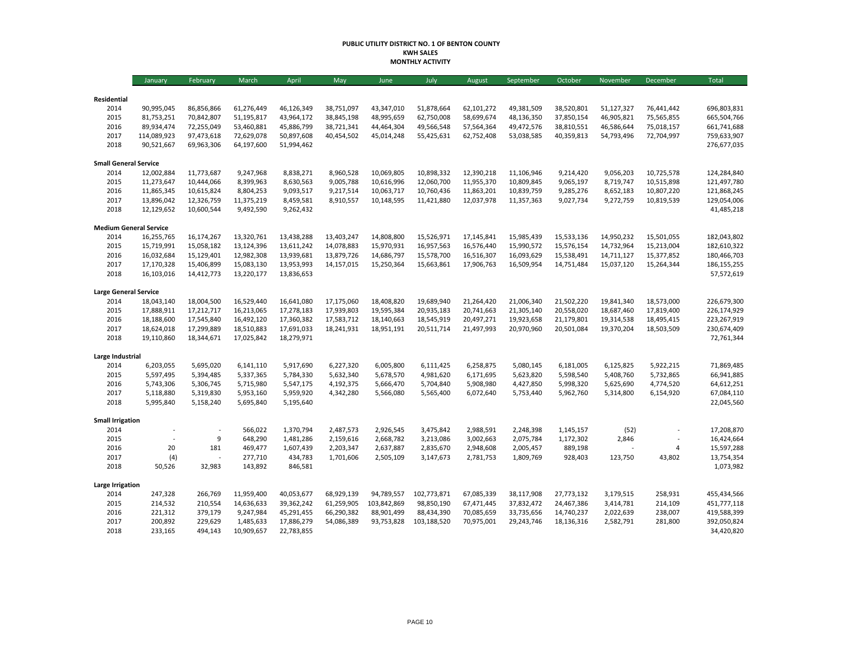#### **PUBLIC UTILITY DISTRICT NO. 1 OF BENTON COUNTY KWH SALES MONTHLY ACTIVITY**

|                               | January                   | February   | March      | April      | May        | June        | July        | August     | September  | October    | November   | December       | <b>Total</b>               |
|-------------------------------|---------------------------|------------|------------|------------|------------|-------------|-------------|------------|------------|------------|------------|----------------|----------------------------|
|                               |                           |            |            |            |            |             |             |            |            |            |            |                |                            |
| Residential                   |                           |            |            |            |            |             |             |            |            |            |            |                |                            |
| 2014                          | 90,995,045                | 86,856,866 | 61,276,449 | 46,126,349 | 38,751,097 | 43,347,010  | 51,878,664  | 62,101,272 | 49,381,509 | 38,520,801 | 51,127,327 | 76,441,442     | 696,803,831                |
| 2015                          | 81,753,251                | 70,842,807 | 51,195,817 | 43,964,172 | 38,845,198 | 48,995,659  | 62,750,008  | 58,699,674 | 48,136,350 | 37,850,154 | 46,905,821 | 75,565,855     | 665,504,766                |
| 2016                          | 89,934,474                | 72,255,049 | 53,460,881 | 45,886,799 | 38,721,341 | 44,464,304  | 49,566,548  | 57,564,364 | 49,472,576 | 38,810,551 | 46,586,644 | 75,018,157     | 661,741,688                |
| 2017<br>2018                  | 114,089,923<br>90,521,667 | 97,473,618 | 72,629,078 | 50,897,608 | 40,454,502 | 45,014,248  | 55,425,631  | 62,752,408 | 53,038,585 | 40,359,813 | 54,793,496 | 72,704,997     | 759,633,907<br>276,677,035 |
|                               |                           | 69,963,306 | 64,197,600 | 51,994,462 |            |             |             |            |            |            |            |                |                            |
| <b>Small General Service</b>  |                           |            |            |            |            |             |             |            |            |            |            |                |                            |
| 2014                          | 12,002,884                | 11,773,687 | 9,247,968  | 8,838,271  | 8,960,528  | 10,069,805  | 10,898,332  | 12,390,218 | 11,106,946 | 9,214,420  | 9,056,203  | 10,725,578     | 124,284,840                |
| 2015                          | 11,273,647                | 10,444,066 | 8,399,963  | 8,630,563  | 9,005,788  | 10,616,996  | 12,060,700  | 11,955,370 | 10,809,845 | 9,065,197  | 8,719,747  | 10,515,898     | 121,497,780                |
| 2016                          | 11,865,345                | 10,615,824 | 8,804,253  | 9,093,517  | 9,217,514  | 10,063,717  | 10,760,436  | 11,863,201 | 10,839,759 | 9,285,276  | 8,652,183  | 10,807,220     | 121,868,245                |
| 2017                          | 13,896,042                | 12,326,759 | 11,375,219 | 8,459,581  | 8,910,557  | 10,148,595  | 11,421,880  | 12,037,978 | 11,357,363 | 9,027,734  | 9,272,759  | 10,819,539     | 129,054,006                |
| 2018                          | 12,129,652                | 10,600,544 | 9,492,590  | 9,262,432  |            |             |             |            |            |            |            |                | 41,485,218                 |
| <b>Medium General Service</b> |                           |            |            |            |            |             |             |            |            |            |            |                |                            |
| 2014                          | 16,255,765                | 16,174,267 | 13,320,761 | 13,438,288 | 13,403,247 | 14,808,800  | 15,526,971  | 17,145,841 | 15,985,439 | 15,533,136 | 14,950,232 | 15,501,055     | 182,043,802                |
| 2015                          | 15,719,991                | 15,058,182 | 13,124,396 | 13,611,242 | 14,078,883 | 15,970,931  | 16,957,563  | 16,576,440 | 15,990,572 | 15,576,154 | 14,732,964 | 15,213,004     | 182,610,322                |
| 2016                          | 16,032,684                | 15,129,401 | 12,982,308 | 13,939,681 | 13,879,726 | 14,686,797  | 15,578,700  | 16,516,307 | 16,093,629 | 15,538,491 | 14,711,127 | 15,377,852     | 180,466,703                |
| 2017                          | 17,170,328                | 15,406,899 | 15,083,130 | 13,953,993 | 14,157,015 | 15,250,364  | 15,663,861  | 17,906,763 | 16,509,954 | 14,751,484 | 15,037,120 | 15,264,344     | 186,155,255                |
| 2018                          | 16,103,016                | 14,412,773 | 13,220,177 | 13,836,653 |            |             |             |            |            |            |            |                | 57,572,619                 |
|                               |                           |            |            |            |            |             |             |            |            |            |            |                |                            |
| <b>Large General Service</b>  |                           |            |            |            |            |             |             |            |            |            |            |                |                            |
| 2014                          | 18,043,140                | 18,004,500 | 16,529,440 | 16,641,080 | 17,175,060 | 18,408,820  | 19,689,940  | 21,264,420 | 21,006,340 | 21,502,220 | 19,841,340 | 18,573,000     | 226,679,300                |
| 2015                          | 17,888,911                | 17,212,717 | 16,213,065 | 17,278,183 | 17,939,803 | 19,595,384  | 20,935,183  | 20,741,663 | 21,305,140 | 20,558,020 | 18,687,460 | 17,819,400     | 226,174,929                |
| 2016                          | 18,188,600                | 17,545,840 | 16,492,120 | 17,360,382 | 17,583,712 | 18,140,663  | 18,545,919  | 20,497,271 | 19,923,658 | 21,179,801 | 19,314,538 | 18,495,415     | 223,267,919                |
| 2017<br>2018                  | 18,624,018                | 17,299,889 | 18,510,883 | 17,691,033 | 18,241,931 | 18,951,191  | 20,511,714  | 21,497,993 | 20,970,960 | 20,501,084 | 19,370,204 | 18,503,509     | 230,674,409<br>72,761,344  |
|                               | 19,110,860                | 18,344,671 | 17,025,842 | 18,279,971 |            |             |             |            |            |            |            |                |                            |
| Large Industrial              |                           |            |            |            |            |             |             |            |            |            |            |                |                            |
| 2014                          | 6,203,055                 | 5,695,020  | 6,141,110  | 5,917,690  | 6,227,320  | 6,005,800   | 6,111,425   | 6,258,875  | 5,080,145  | 6,181,005  | 6,125,825  | 5,922,215      | 71,869,485                 |
| 2015                          | 5,597,495                 | 5,394,485  | 5,337,365  | 5,784,330  | 5,632,340  | 5,678,570   | 4,981,620   | 6,171,695  | 5,623,820  | 5,598,540  | 5,408,760  | 5,732,865      | 66,941,885                 |
| 2016                          | 5,743,306                 | 5,306,745  | 5,715,980  | 5,547,175  | 4,192,375  | 5,666,470   | 5,704,840   | 5,908,980  | 4,427,850  | 5,998,320  | 5,625,690  | 4,774,520      | 64,612,251                 |
| 2017                          | 5,118,880                 | 5,319,830  | 5,953,160  | 5,959,920  | 4,342,280  | 5,566,080   | 5,565,400   | 6,072,640  | 5,753,440  | 5,962,760  | 5,314,800  | 6,154,920      | 67,084,110                 |
| 2018                          | 5,995,840                 | 5,158,240  | 5,695,840  | 5,195,640  |            |             |             |            |            |            |            |                | 22,045,560                 |
| <b>Small Irrigation</b>       |                           |            |            |            |            |             |             |            |            |            |            |                |                            |
| 2014                          |                           | ÷.         | 566,022    | 1,370,794  | 2,487,573  | 2,926,545   | 3,475,842   | 2,988,591  | 2,248,398  | 1,145,157  | (52)       |                | 17,208,870                 |
| 2015                          |                           | 9          | 648,290    | 1,481,286  | 2,159,616  | 2,668,782   | 3,213,086   | 3,002,663  | 2,075,784  | 1,172,302  | 2,846      |                | 16,424,664                 |
| 2016                          | 20                        | 181        | 469,477    | 1,607,439  | 2,203,347  | 2,637,887   | 2,835,670   | 2,948,608  | 2,005,457  | 889,198    |            | $\overline{4}$ | 15,597,288                 |
| 2017                          | (4)                       |            | 277,710    | 434,783    | 1,701,606  | 2,505,109   | 3,147,673   | 2,781,753  | 1,809,769  | 928,403    | 123,750    | 43,802         | 13,754,354                 |
| 2018                          | 50,526                    | 32,983     | 143,892    | 846,581    |            |             |             |            |            |            |            |                | 1,073,982                  |
| <b>Large Irrigation</b>       |                           |            |            |            |            |             |             |            |            |            |            |                |                            |
| 2014                          | 247,328                   | 266,769    | 11,959,400 | 40,053,677 | 68,929,139 | 94,789,557  | 102,773,871 | 67,085,339 | 38,117,908 | 27,773,132 | 3,179,515  | 258,931        | 455,434,566                |
| 2015                          | 214,532                   | 210,554    | 14,636,633 | 39,362,242 | 61,259,905 | 103,842,869 | 98,850,190  | 67,471,445 | 37,832,472 | 24,467,386 | 3,414,781  | 214,109        | 451,777,118                |
| 2016                          | 221,312                   | 379,179    | 9,247,984  | 45,291,455 | 66,290,382 | 88,901,499  | 88,434,390  | 70,085,659 | 33,735,656 | 14,740,237 | 2,022,639  | 238,007        | 419,588,399                |
| 2017                          | 200,892                   | 229,629    | 1,485,633  | 17,886,279 | 54,086,389 | 93,753,828  | 103,188,520 | 70,975,001 | 29,243,746 | 18,136,316 | 2,582,791  | 281,800        | 392,050,824                |
| 2018                          | 233,165                   | 494,143    | 10,909,657 | 22,783,855 |            |             |             |            |            |            |            |                | 34,420,820                 |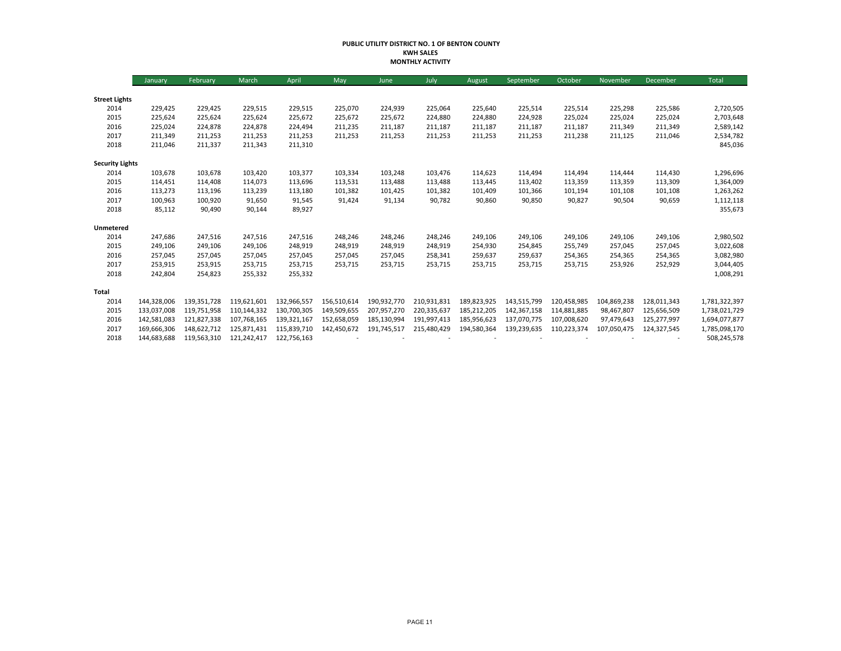#### **PUBLIC UTILITY DISTRICT NO. 1 OF BENTON COUNTY KWH SALES MONTHLY ACTIVITY**

|                        | January     | February    | March       | April       | May         | June        | July        | August      | September   | October     | November    | December    | Total         |
|------------------------|-------------|-------------|-------------|-------------|-------------|-------------|-------------|-------------|-------------|-------------|-------------|-------------|---------------|
|                        |             |             |             |             |             |             |             |             |             |             |             |             |               |
| <b>Street Lights</b>   |             |             |             |             |             |             |             |             |             |             |             |             |               |
| 2014                   | 229,425     | 229,425     | 229,515     | 229,515     | 225,070     | 224,939     | 225,064     | 225,640     | 225,514     | 225,514     | 225,298     | 225,586     | 2,720,505     |
| 2015                   | 225,624     | 225,624     | 225,624     | 225,672     | 225,672     | 225,672     | 224,880     | 224,880     | 224,928     | 225,024     | 225,024     | 225,024     | 2,703,648     |
| 2016                   | 225,024     | 224,878     | 224,878     | 224,494     | 211,235     | 211,187     | 211,187     | 211,187     | 211,187     | 211,187     | 211,349     | 211,349     | 2,589,142     |
| 2017                   | 211,349     | 211,253     | 211,253     | 211,253     | 211,253     | 211,253     | 211,253     | 211,253     | 211,253     | 211,238     | 211,125     | 211,046     | 2,534,782     |
| 2018                   | 211,046     | 211,337     | 211,343     | 211,310     |             |             |             |             |             |             |             |             | 845,036       |
| <b>Security Lights</b> |             |             |             |             |             |             |             |             |             |             |             |             |               |
| 2014                   | 103,678     | 103,678     | 103,420     | 103,377     | 103,334     | 103,248     | 103,476     | 114,623     | 114,494     | 114,494     | 114,444     | 114,430     | 1,296,696     |
| 2015                   | 114,451     | 114,408     | 114,073     | 113,696     | 113,531     | 113,488     | 113,488     | 113,445     | 113,402     | 113,359     | 113,359     | 113,309     | 1,364,009     |
| 2016                   | 113,273     | 113,196     | 113,239     | 113,180     | 101,382     | 101,425     | 101,382     | 101,409     | 101,366     | 101,194     | 101,108     | 101,108     | 1,263,262     |
| 2017                   | 100,963     | 100,920     | 91,650      | 91,545      | 91,424      | 91,134      | 90,782      | 90,860      | 90,850      | 90,827      | 90,504      | 90,659      | 1,112,118     |
| 2018                   | 85,112      | 90,490      | 90,144      | 89,927      |             |             |             |             |             |             |             |             | 355,673       |
| Unmetered              |             |             |             |             |             |             |             |             |             |             |             |             |               |
| 2014                   | 247,686     | 247,516     | 247,516     | 247,516     | 248,246     | 248,246     | 248,246     | 249,106     | 249,106     | 249,106     | 249,106     | 249,106     | 2,980,502     |
| 2015                   | 249,106     | 249,106     | 249,106     | 248,919     | 248,919     | 248,919     | 248,919     | 254,930     | 254,845     | 255,749     | 257,045     | 257,045     | 3,022,608     |
| 2016                   | 257,045     | 257,045     | 257,045     | 257,045     | 257,045     | 257,045     | 258,341     | 259,637     | 259,637     | 254,365     | 254,365     | 254,365     | 3,082,980     |
| 2017                   | 253,915     | 253,915     | 253,715     | 253,715     | 253,715     | 253,715     | 253,715     | 253,715     | 253,715     | 253,715     | 253,926     | 252,929     | 3,044,405     |
| 2018                   | 242,804     | 254,823     | 255,332     | 255,332     |             |             |             |             |             |             |             |             | 1,008,291     |
| Total                  |             |             |             |             |             |             |             |             |             |             |             |             |               |
| 2014                   | 144,328,006 | 139,351,728 | 119,621,601 | 132,966,557 | 156,510,614 | 190,932,770 | 210,931,831 | 189,823,925 | 143,515,799 | 120,458,985 | 104,869,238 | 128,011,343 | 1,781,322,397 |
| 2015                   | 133,037,008 | 119,751,958 | 110,144,332 | 130,700,305 | 149,509,655 | 207,957,270 | 220,335,637 | 185,212,205 | 142,367,158 | 114,881,885 | 98,467,807  | 125,656,509 | 1,738,021,729 |
| 2016                   | 142,581,083 | 121,827,338 | 107,768,165 | 139,321,167 | 152,658,059 | 185,130,994 | 191,997,413 | 185,956,623 | 137,070,775 | 107,008,620 | 97,479,643  | 125,277,997 | 1,694,077,877 |
| 2017                   | 169,666,306 | 148,622,712 | 125,871,431 | 115,839,710 | 142,450,672 | 191,745,517 | 215,480,429 | 194,580,364 | 139,239,635 | 110,223,374 | 107,050,475 | 124,327,545 | 1,785,098,170 |
| 2018                   | 144,683,688 | 119,563,310 | 121,242,417 | 122,756,163 |             |             |             |             |             |             |             |             | 508,245,578   |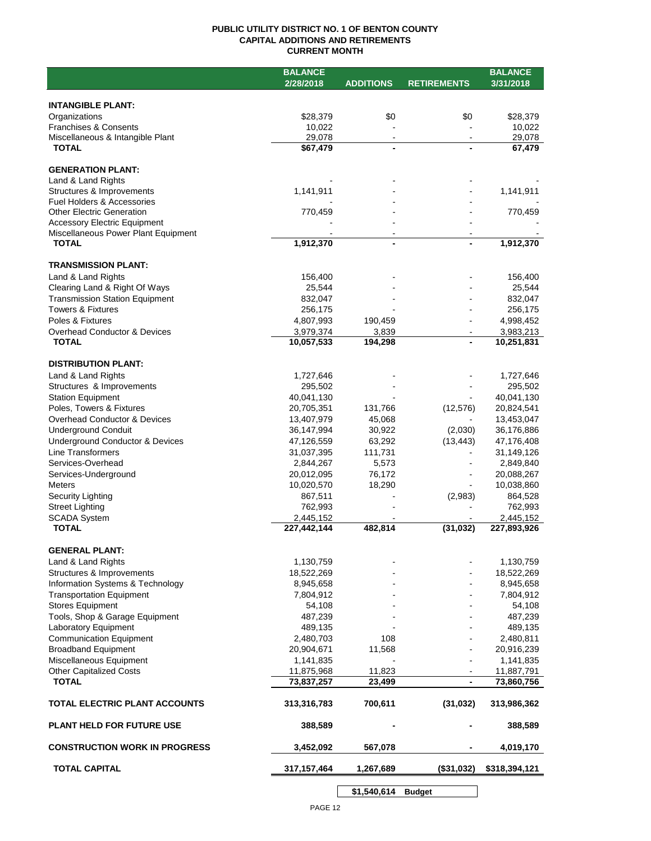## **PUBLIC UTILITY DISTRICT NO. 1 OF BENTON COUNTY CAPITAL ADDITIONS AND RETIREMENTS CURRENT MONTH**

|                                                                      | <b>BALANCE</b>           |                          |                    | <b>BALANCE</b>           |
|----------------------------------------------------------------------|--------------------------|--------------------------|--------------------|--------------------------|
|                                                                      | 2/28/2018                | <b>ADDITIONS</b>         | <b>RETIREMENTS</b> | 3/31/2018                |
|                                                                      |                          |                          |                    |                          |
| <b>INTANGIBLE PLANT:</b>                                             |                          |                          |                    |                          |
| Organizations                                                        | \$28,379                 | \$0                      | \$0                | \$28,379                 |
| <b>Franchises &amp; Consents</b><br>Miscellaneous & Intangible Plant | 10,022<br>29,078         | $\blacksquare$           | $\blacksquare$     | 10,022<br>29,078         |
| <b>TOTAL</b>                                                         | \$67,479                 |                          |                    | 67,479                   |
|                                                                      |                          |                          |                    |                          |
| <b>GENERATION PLANT:</b>                                             |                          |                          |                    |                          |
| Land & Land Rights                                                   |                          |                          |                    |                          |
| Structures & Improvements                                            | 1,141,911                |                          |                    | 1,141,911                |
| Fuel Holders & Accessories                                           |                          |                          |                    |                          |
| <b>Other Electric Generation</b>                                     | 770,459                  |                          |                    | 770,459                  |
| <b>Accessory Electric Equipment</b>                                  |                          |                          |                    |                          |
| Miscellaneous Power Plant Equipment                                  |                          | $\overline{\phantom{a}}$ |                    |                          |
| <b>TOTAL</b>                                                         | 1,912,370                | $\blacksquare$           |                    | 1,912,370                |
| <b>TRANSMISSION PLANT:</b>                                           |                          |                          |                    |                          |
| Land & Land Rights                                                   | 156,400                  |                          |                    | 156,400                  |
| Clearing Land & Right Of Ways                                        | 25,544                   |                          |                    | 25,544                   |
| <b>Transmission Station Equipment</b>                                | 832,047                  |                          |                    | 832,047                  |
| <b>Towers &amp; Fixtures</b>                                         | 256,175                  |                          |                    | 256,175                  |
| Poles & Fixtures                                                     | 4,807,993                | 190,459                  |                    | 4,998,452                |
| Overhead Conductor & Devices                                         | 3,979,374                | 3,839                    |                    | 3,983,213                |
| <b>TOTAL</b>                                                         | 10,057,533               | 194,298                  |                    | 10,251,831               |
|                                                                      |                          |                          |                    |                          |
| <b>DISTRIBUTION PLANT:</b>                                           |                          |                          |                    |                          |
| Land & Land Rights                                                   | 1,727,646                |                          |                    | 1,727,646                |
| Structures & Improvements                                            | 295,502                  |                          |                    | 295,502                  |
| <b>Station Equipment</b>                                             | 40,041,130               |                          |                    | 40,041,130               |
| Poles, Towers & Fixtures                                             | 20,705,351               | 131,766                  | (12, 576)          | 20,824,541               |
| Overhead Conductor & Devices                                         | 13,407,979               | 45,068                   |                    | 13,453,047               |
| <b>Underground Conduit</b>                                           | 36,147,994               | 30,922                   | (2,030)            | 36,176,886               |
| Underground Conductor & Devices                                      | 47,126,559               | 63,292                   | (13, 443)          | 47,176,408               |
| Line Transformers                                                    | 31,037,395               | 111,731                  |                    | 31,149,126               |
| Services-Overhead                                                    | 2,844,267                | 5,573                    |                    | 2,849,840                |
| Services-Underground                                                 | 20,012,095               | 76,172                   |                    | 20,088,267               |
| <b>Meters</b>                                                        | 10,020,570               | 18,290                   |                    | 10,038,860               |
| Security Lighting                                                    | 867,511                  |                          | (2,983)            | 864,528                  |
| <b>Street Lighting</b>                                               | 762,993                  |                          |                    | 762,993                  |
| <b>SCADA System</b><br><b>TOTAL</b>                                  | 2,445,152<br>227,442,144 | 482,814                  | (31, 032)          | 2,445,152<br>227,893,926 |
|                                                                      |                          |                          |                    |                          |
| <b>GENERAL PLANT:</b>                                                |                          |                          |                    |                          |
| Land & Land Rights                                                   | 1,130,759                |                          |                    | 1,130,759                |
| Structures & Improvements                                            | 18,522,269               |                          |                    | 18,522,269               |
| Information Systems & Technology                                     | 8,945,658                |                          |                    | 8,945,658                |
| <b>Transportation Equipment</b>                                      | 7,804,912                |                          |                    | 7,804,912                |
| <b>Stores Equipment</b>                                              | 54,108                   |                          |                    | 54,108                   |
| Tools, Shop & Garage Equipment                                       | 487,239                  |                          |                    | 487,239                  |
| Laboratory Equipment                                                 | 489,135                  |                          |                    | 489,135                  |
| <b>Communication Equipment</b>                                       | 2,480,703                | 108                      |                    | 2,480,811                |
| <b>Broadband Equipment</b>                                           | 20,904,671               | 11,568                   |                    | 20,916,239               |
| Miscellaneous Equipment                                              | 1,141,835                |                          |                    | 1,141,835                |
| <b>Other Capitalized Costs</b>                                       | 11,875,968               | 11,823                   |                    | 11,887,791               |
| <b>TOTAL</b>                                                         | 73,837,257               | 23,499                   | $\blacksquare$     | 73,860,756               |
| TOTAL ELECTRIC PLANT ACCOUNTS                                        | 313,316,783              | 700,611                  | (31, 032)          | 313,986,362              |
| <b>PLANT HELD FOR FUTURE USE</b>                                     | 388,589                  |                          |                    | 388,589                  |
| <b>CONSTRUCTION WORK IN PROGRESS</b>                                 | 3,452,092                | 567,078                  |                    | 4,019,170                |
| <b>TOTAL CAPITAL</b>                                                 | 317, 157, 464            | 1,267,689                | (\$31,032)         | \$318,394,121            |
|                                                                      |                          |                          |                    |                          |
|                                                                      |                          | \$1,540,614              | <b>Budget</b>      |                          |

PAGE 12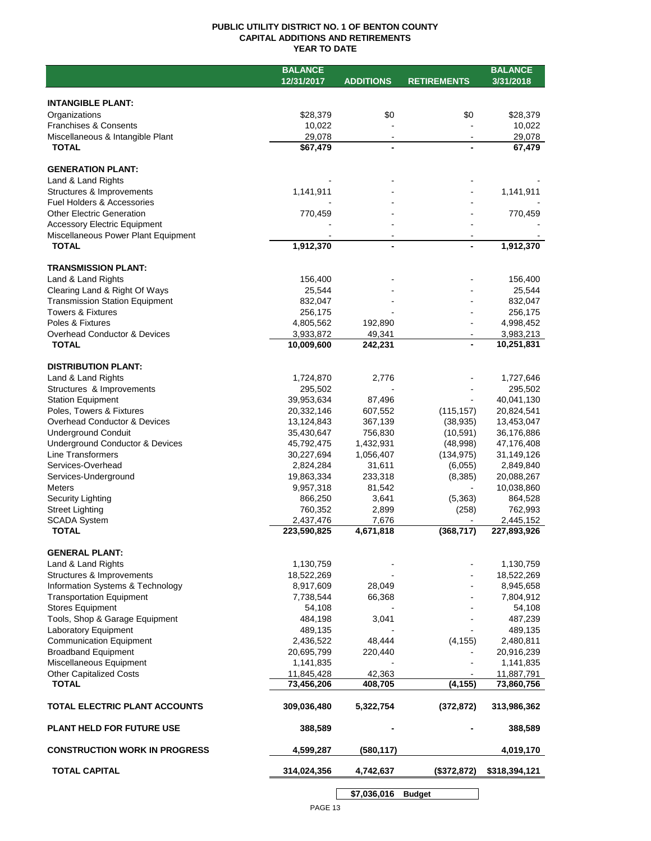## **PUBLIC UTILITY DISTRICT NO. 1 OF BENTON COUNTY CAPITAL ADDITIONS AND RETIREMENTS YEAR TO DATE**

|                                       | <b>BALANCE</b> |                  |                    | <b>BALANCE</b> |
|---------------------------------------|----------------|------------------|--------------------|----------------|
|                                       | 12/31/2017     | <b>ADDITIONS</b> | <b>RETIREMENTS</b> | 3/31/2018      |
|                                       |                |                  |                    |                |
| <b>INTANGIBLE PLANT:</b>              |                |                  |                    |                |
| Organizations                         | \$28,379       | \$0              | \$0                | \$28,379       |
| <b>Franchises &amp; Consents</b>      | 10,022         |                  |                    | 10,022         |
| Miscellaneous & Intangible Plant      | 29,078         | $\blacksquare$   |                    | 29,078         |
| <b>TOTAL</b>                          | \$67,479       | $\blacksquare$   |                    | 67,479         |
|                                       |                |                  |                    |                |
| <b>GENERATION PLANT:</b>              |                |                  |                    |                |
| Land & Land Rights                    |                |                  |                    |                |
| Structures & Improvements             | 1,141,911      |                  |                    | 1,141,911      |
| <b>Fuel Holders &amp; Accessories</b> |                |                  |                    |                |
| <b>Other Electric Generation</b>      | 770,459        |                  |                    | 770,459        |
| <b>Accessory Electric Equipment</b>   |                |                  |                    |                |
| Miscellaneous Power Plant Equipment   |                |                  |                    |                |
| <b>TOTAL</b>                          | 1,912,370      | $\blacksquare$   |                    | 1,912,370      |
|                                       |                |                  |                    |                |
| <b>TRANSMISSION PLANT:</b>            |                |                  |                    |                |
| Land & Land Rights                    | 156,400        |                  |                    | 156,400        |
| Clearing Land & Right Of Ways         | 25,544         |                  |                    | 25,544         |
| <b>Transmission Station Equipment</b> | 832,047        |                  |                    | 832,047        |
| <b>Towers &amp; Fixtures</b>          | 256,175        |                  |                    | 256,175        |
| Poles & Fixtures                      | 4,805,562      | 192,890          |                    | 4,998,452      |
| Overhead Conductor & Devices          | 3,933,872      | 49,341           |                    | 3,983,213      |
| <b>TOTAL</b>                          | 10,009,600     | 242,231          |                    | 10,251,831     |
|                                       |                |                  |                    |                |
| <b>DISTRIBUTION PLANT:</b>            |                |                  |                    |                |
| Land & Land Rights                    | 1,724,870      | 2,776            |                    | 1,727,646      |
| Structures & Improvements             | 295,502        |                  |                    | 295,502        |
| <b>Station Equipment</b>              | 39,953,634     | 87,496           |                    | 40,041,130     |
| Poles, Towers & Fixtures              | 20,332,146     | 607,552          | (115, 157)         | 20,824,541     |
| Overhead Conductor & Devices          | 13,124,843     | 367,139          | (38, 935)          | 13,453,047     |
| <b>Underground Conduit</b>            | 35,430,647     | 756,830          | (10, 591)          | 36,176,886     |
| Underground Conductor & Devices       | 45,792,475     | 1,432,931        | (48,998)           | 47,176,408     |
| Line Transformers                     | 30,227,694     | 1,056,407        | (134, 975)         | 31,149,126     |
| Services-Overhead                     | 2,824,284      | 31,611           | (6,055)            | 2,849,840      |
| Services-Underground                  | 19,863,334     | 233,318          | (8,385)            | 20,088,267     |
| <b>Meters</b>                         | 9,957,318      | 81,542           |                    | 10,038,860     |
| Security Lighting                     | 866,250        | 3,641            | (5,363)            | 864,528        |
| <b>Street Lighting</b>                | 760,352        | 2,899            | (258)              | 762,993        |
| <b>SCADA System</b>                   | 2,437,476      | 7,676            |                    | 2,445,152      |
| <b>TOTAL</b>                          | 223,590,825    | 4,671,818        | (368, 717)         | 227,893,926    |
|                                       |                |                  |                    |                |
| <b>GENERAL PLANT:</b>                 |                |                  |                    |                |
| Land & Land Rights                    | 1,130,759      |                  |                    | 1,130,759      |
| Structures & Improvements             | 18,522,269     |                  |                    | 18,522,269     |
| Information Systems & Technology      | 8,917,609      | 28,049           |                    | 8,945,658      |
| <b>Transportation Equipment</b>       | 7,738,544      | 66,368           |                    | 7,804,912      |
| <b>Stores Equipment</b>               | 54,108         |                  |                    | 54,108         |
| Tools, Shop & Garage Equipment        | 484,198        | 3,041            |                    | 487,239        |
| Laboratory Equipment                  | 489,135        |                  |                    | 489,135        |
| <b>Communication Equipment</b>        | 2,436,522      | 48,444           | (4, 155)           | 2,480,811      |
| <b>Broadband Equipment</b>            | 20,695,799     | 220,440          |                    | 20,916,239     |
| Miscellaneous Equipment               | 1,141,835      |                  |                    | 1,141,835      |
| <b>Other Capitalized Costs</b>        | 11,845,428     | 42,363           |                    | 11,887,791     |
| <b>TOTAL</b>                          | 73,456,206     | 408,705          | (4, 155)           | 73,860,756     |
|                                       |                |                  |                    |                |
| TOTAL ELECTRIC PLANT ACCOUNTS         | 309,036,480    | 5,322,754        | (372, 872)         | 313,986,362    |
|                                       |                |                  |                    |                |
| <b>PLANT HELD FOR FUTURE USE</b>      | 388,589        |                  |                    | 388,589        |
|                                       |                |                  |                    |                |
| <b>CONSTRUCTION WORK IN PROGRESS</b>  | 4,599,287      | (580, 117)       |                    | 4,019,170      |
|                                       |                |                  |                    |                |
| <b>TOTAL CAPITAL</b>                  | 314,024,356    | 4,742,637        | (\$372,872)        | \$318,394,121  |
|                                       |                |                  |                    |                |

**\$7,036,016 Budget**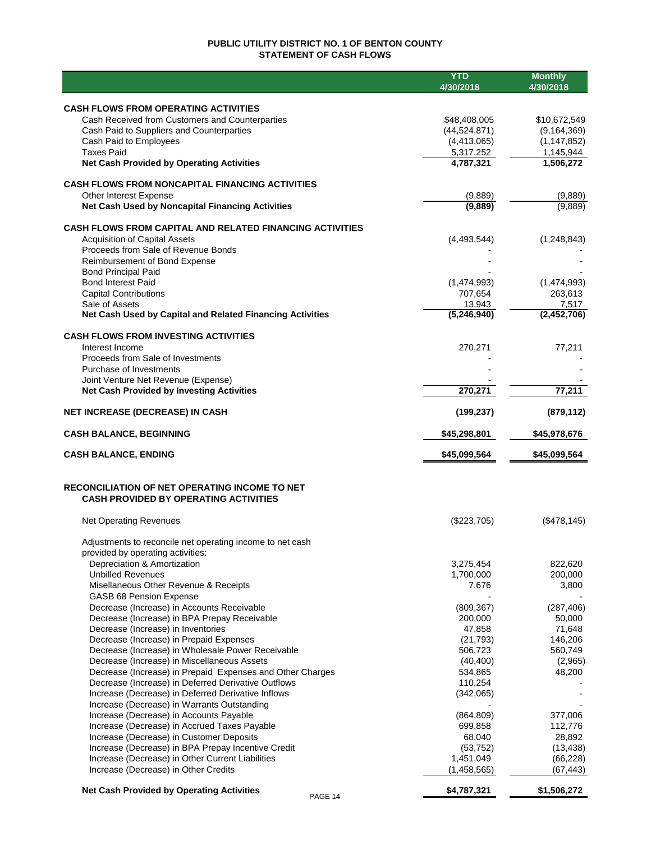# **PUBLIC UTILITY DISTRICT NO. 1 OF BENTON COUNTY STATEMENT OF CASH FLOWS**

|                                                                                        | <b>YTD</b><br>4/30/2018 | <b>Monthly</b><br>4/30/2018 |
|----------------------------------------------------------------------------------------|-------------------------|-----------------------------|
|                                                                                        |                         |                             |
| <b>CASH FLOWS FROM OPERATING ACTIVITIES</b>                                            |                         |                             |
| Cash Received from Customers and Counterparties                                        | \$48,408,005            | \$10,672,549                |
| Cash Paid to Suppliers and Counterparties                                              | (44, 524, 871)          | (9, 164, 369)               |
| Cash Paid to Employees<br><b>Taxes Paid</b>                                            | (4,413,065)             | (1, 147, 852)               |
| <b>Net Cash Provided by Operating Activities</b>                                       | 5,317,252<br>4,787,321  | 1,145,944<br>1,506,272      |
|                                                                                        |                         |                             |
| <b>CASH FLOWS FROM NONCAPITAL FINANCING ACTIVITIES</b>                                 |                         |                             |
| Other Interest Expense                                                                 | (9,889)                 | (9,889)                     |
| Net Cash Used by Noncapital Financing Activities                                       | (9,889)                 | (9,889)                     |
| <b>CASH FLOWS FROM CAPITAL AND RELATED FINANCING ACTIVITIES</b>                        |                         |                             |
| <b>Acquisition of Capital Assets</b>                                                   | (4,493,544)             | (1, 248, 843)               |
| Proceeds from Sale of Revenue Bonds                                                    |                         |                             |
| Reimbursement of Bond Expense                                                          |                         |                             |
| <b>Bond Principal Paid</b>                                                             |                         |                             |
| <b>Bond Interest Paid</b>                                                              | (1,474,993)             | (1,474,993)<br>263,613      |
| <b>Capital Contributions</b><br>Sale of Assets                                         | 707,654<br>13,943       | 7,517                       |
| Net Cash Used by Capital and Related Financing Activities                              | (5,246,940)             | (2,452,706)                 |
|                                                                                        |                         |                             |
| <b>CASH FLOWS FROM INVESTING ACTIVITIES</b>                                            |                         |                             |
| Interest Income<br>Proceeds from Sale of Investments                                   | 270,271                 | 77.211                      |
| Purchase of Investments                                                                |                         |                             |
| Joint Venture Net Revenue (Expense)                                                    |                         |                             |
| <b>Net Cash Provided by Investing Activities</b>                                       | 270,271                 | 77,211                      |
| <b>NET INCREASE (DECREASE) IN CASH</b>                                                 | (199, 237)              | (879, 112)                  |
| <b>CASH BALANCE, BEGINNING</b>                                                         | \$45,298,801            | \$45,978,676                |
|                                                                                        |                         |                             |
| <b>CASH BALANCE, ENDING</b>                                                            | \$45,099,564            | \$45,099,564                |
| RECONCILIATION OF NET OPERATING INCOME TO NET                                          |                         |                             |
| <b>CASH PROVIDED BY OPERATING ACTIVITIES</b>                                           |                         |                             |
| <b>Net Operating Revenues</b>                                                          | (\$223,705)             | (\$478,145)                 |
|                                                                                        |                         |                             |
| Adjustments to reconcile net operating income to net cash                              |                         |                             |
| provided by operating activities:                                                      |                         |                             |
| Depreciation & Amortization<br><b>Unbilled Revenues</b>                                | 3,275,454<br>1,700,000  | 822,620<br>200,000          |
| Misellaneous Other Revenue & Receipts                                                  | 7,676                   | 3,800                       |
| GASB 68 Pension Expense                                                                |                         |                             |
| Decrease (Increase) in Accounts Receivable                                             | (809, 367)              | (287, 406)                  |
| Decrease (Increase) in BPA Prepay Receivable                                           | 200,000                 | 50,000                      |
| Decrease (Increase) in Inventories                                                     | 47,858                  | 71,648                      |
| Decrease (Increase) in Prepaid Expenses                                                | (21, 793)               | 146,206                     |
| Decrease (Increase) in Wholesale Power Receivable                                      | 506,723                 | 560,749                     |
| Decrease (Increase) in Miscellaneous Assets                                            | (40, 400)               | (2,965)                     |
| Decrease (Increase) in Prepaid Expenses and Other Charges                              | 534,865                 | 48,200                      |
| Decrease (Increase) in Deferred Derivative Outflows                                    | 110,254                 |                             |
| Increase (Decrease) in Deferred Derivative Inflows                                     | (342,065)               |                             |
| Increase (Decrease) in Warrants Outstanding<br>Increase (Decrease) in Accounts Payable | (864, 809)              | 377,006                     |
| Increase (Decrease) in Accrued Taxes Payable                                           | 699,858                 | 112,776                     |
| Increase (Decrease) in Customer Deposits                                               | 68,040                  | 28,892                      |
| Increase (Decrease) in BPA Prepay Incentive Credit                                     | (53, 752)               | (13, 438)                   |
| Increase (Decrease) in Other Current Liabilities                                       | 1,451,049               | (66, 228)                   |
| Increase (Decrease) in Other Credits                                                   | (1,458,565)             | (67, 443)                   |
| <b>Net Cash Provided by Operating Activities</b><br>PAGE 14                            | \$4,787,321             | \$1,506,272                 |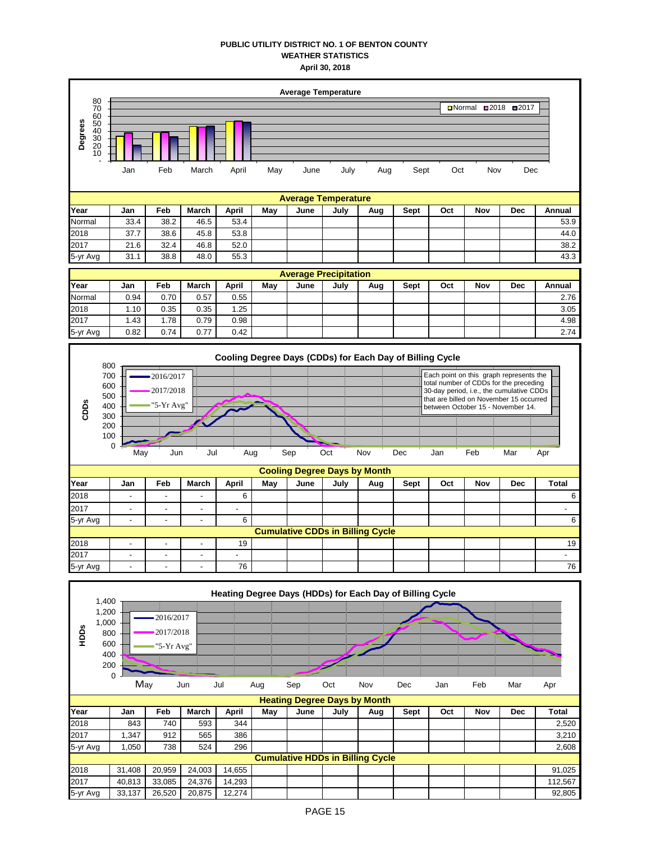## **PUBLIC UTILITY DISTRICT NO. 1 OF BENTON COUNTY WEATHER STATISTICS April 30, 2018**



|          | May                      | Jun                      | Jul                      | Aug                      |     | Sep  | Oct  | <b>Nov</b>                              | <b>Dec</b> | Jan | Feb | Mar        | Apr          |
|----------|--------------------------|--------------------------|--------------------------|--------------------------|-----|------|------|-----------------------------------------|------------|-----|-----|------------|--------------|
|          |                          |                          |                          |                          |     |      |      | <b>Cooling Degree Days by Month</b>     |            |     |     |            |              |
| Year     | Jan                      | Feb                      | March                    | April                    | May | June | July | Aug                                     | Sept       | Oct | Nov | <b>Dec</b> | <b>Total</b> |
| 2018     | -                        | $\overline{\phantom{a}}$ | $\overline{\phantom{a}}$ | 6                        |     |      |      |                                         |            |     |     |            | 6            |
| 2017     | $\overline{\phantom{a}}$ | $\overline{\phantom{a}}$ | $\overline{\phantom{a}}$ | $\overline{\phantom{a}}$ |     |      |      |                                         |            |     |     |            | -            |
| 5-yr Avg | -                        | -                        | -                        | 6                        |     |      |      |                                         |            |     |     |            | 6            |
|          |                          |                          |                          |                          |     |      |      | <b>Cumulative CDDs in Billing Cycle</b> |            |     |     |            |              |
| 2018     | $\overline{\phantom{0}}$ | ۰.                       | -                        | 19                       |     |      |      |                                         |            |     |     |            | 19           |
| 2017     | -                        | -                        | -                        | -                        |     |      |      |                                         |            |     |     |            |              |
| 5-yr Avg | -                        | $\overline{\phantom{a}}$ | -                        | 76                       |     |      |      |                                         |            |     |     |            | 76           |

0

| HDDS     | 1,400<br>1,200<br>1,000<br>800<br>600<br>400<br>200 | $\mathbf 0$ | 2016/2017<br>2017/2018<br>"5-Yr Avg" |        |        |     |      |      |                                         | Heating Degree Days (HDDs) for Each Day of Billing Cycle |     |     |            |         |
|----------|-----------------------------------------------------|-------------|--------------------------------------|--------|--------|-----|------|------|-----------------------------------------|----------------------------------------------------------|-----|-----|------------|---------|
|          |                                                     | May         |                                      | Jun    | Jul    | Aug | Sep  | Oct  | Nov                                     | Dec                                                      | Jan | Feb | Mar        | Apr     |
|          |                                                     |             |                                      |        |        |     |      |      | <b>Heating Degree Days by Month</b>     |                                                          |     |     |            |         |
| Year     |                                                     | Jan         | Feb                                  | March  | April  | May | June | July | Aug                                     | Sept                                                     | Oct | Nov | <b>Dec</b> | Total   |
| 2018     |                                                     | 843         | 740                                  | 593    | 344    |     |      |      |                                         |                                                          |     |     |            | 2,520   |
| 2017     |                                                     | 1,347       | 912                                  | 565    | 386    |     |      |      |                                         |                                                          |     |     |            | 3,210   |
| 5-yr Avg |                                                     | 1,050       | 738                                  | 524    | 296    |     |      |      |                                         |                                                          |     |     |            | 2,608   |
|          |                                                     |             |                                      |        |        |     |      |      | <b>Cumulative HDDs in Billing Cycle</b> |                                                          |     |     |            |         |
| 2018     |                                                     | 31,408      | 20,959                               | 24,003 | 14,655 |     |      |      |                                         |                                                          |     |     |            | 91,025  |
| 2017     |                                                     | 40,813      | 33,085                               | 24,376 | 14,293 |     |      |      |                                         |                                                          |     |     |            | 112,567 |
| 5-yr Avg |                                                     | 33,137      | 26,520                               | 20,875 | 12,274 |     |      |      |                                         |                                                          |     |     |            | 92,805  |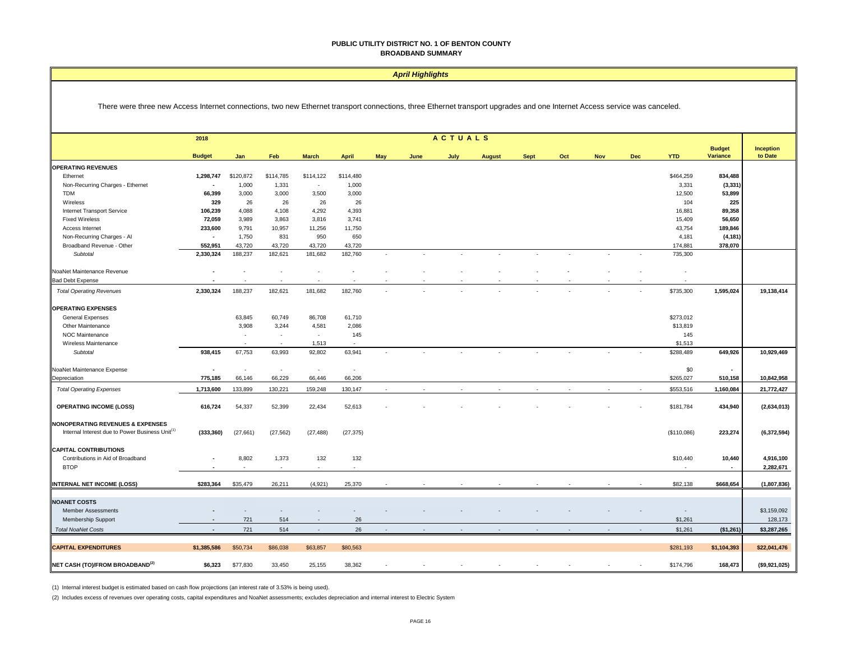#### *April Highlights*

There were three new Access Internet connections, two new Ethernet transport connections, three Ethernet transport upgrades and one Internet Access service was canceled.

|                                                             | 2018           |                          |                          |                          |              |     |      | <b>ACTUALS</b>           |               |             |     |            |     |                          |                  |                      |
|-------------------------------------------------------------|----------------|--------------------------|--------------------------|--------------------------|--------------|-----|------|--------------------------|---------------|-------------|-----|------------|-----|--------------------------|------------------|----------------------|
|                                                             |                |                          |                          |                          |              |     |      |                          |               |             |     |            |     | <b>YTD</b>               | <b>Budget</b>    | Inception<br>to Date |
|                                                             | <b>Budget</b>  | Jan                      | Feb                      | <b>March</b>             | <b>April</b> | May | June | July                     | <b>August</b> | <b>Sept</b> | Oct | <b>Nov</b> | Dec |                          | Variance         |                      |
| <b>OPERATING REVENUES</b>                                   | 1,298,747      | \$120,872                | \$114,785                | \$114,122                | \$114,480    |     |      |                          |               |             |     |            |     | \$464,259                | 834,488          |                      |
| Ethernet                                                    | $\blacksquare$ | 1,000                    | 1,331                    | ×.                       | 1,000        |     |      |                          |               |             |     |            |     | 3,331                    |                  |                      |
| Non-Recurring Charges - Ethernet<br><b>TDM</b>              |                |                          |                          |                          |              |     |      |                          |               |             |     |            |     |                          | (3, 331)         |                      |
| Wireless                                                    | 66,399<br>329  | 3,000<br>26              | 3,000<br>26              | 3,500<br>26              | 3,000<br>26  |     |      |                          |               |             |     |            |     | 12,500<br>104            | 53,899<br>225    |                      |
| Internet Transport Service                                  | 106,239        | 4,088                    | 4,108                    | 4,292                    | 4,393        |     |      |                          |               |             |     |            |     | 16,881                   | 89,358           |                      |
| <b>Fixed Wireless</b>                                       | 72,059         | 3,989                    | 3,863                    | 3,816                    | 3,741        |     |      |                          |               |             |     |            |     | 15,409                   | 56,650           |                      |
| Access Internet                                             | 233,600        | 9,791                    | 10,957                   | 11,256                   | 11,750       |     |      |                          |               |             |     |            |     | 43,754                   | 189,846          |                      |
| Non-Recurring Charges - Al                                  | $\blacksquare$ | 1,750                    | 831                      | 950                      | 650          |     |      |                          |               |             |     |            |     | 4,181                    | (4, 181)         |                      |
| Broadband Revenue - Other                                   | 552,951        | 43,720                   | 43,720                   | 43,720                   | 43,720       |     |      |                          |               |             |     |            |     | 174,881                  | 378,070          |                      |
| Subtotal                                                    | 2,330,324      | 188,237                  | 182,621                  | 181,682                  | 182,760      | ٠   |      | $\overline{\phantom{a}}$ |               |             |     |            |     | 735,300                  |                  |                      |
|                                                             |                |                          |                          |                          |              |     |      |                          |               |             |     |            |     |                          |                  |                      |
| NoaNet Maintenance Revenue                                  |                |                          |                          |                          |              |     |      |                          |               |             |     |            |     |                          |                  |                      |
| <b>Bad Debt Expense</b>                                     |                |                          |                          |                          |              |     |      |                          |               |             |     |            |     |                          |                  |                      |
|                                                             |                |                          |                          |                          |              |     |      |                          |               |             |     |            |     |                          |                  |                      |
| <b>Total Operating Revenues</b>                             | 2,330,324      | 188,237                  | 182,621                  | 181,682                  | 182,760      |     |      |                          |               |             |     |            |     | \$735,300                | 1,595,024        | 19,138,414           |
| <b>OPERATING EXPENSES</b>                                   |                |                          |                          |                          |              |     |      |                          |               |             |     |            |     |                          |                  |                      |
|                                                             |                |                          |                          |                          |              |     |      |                          |               |             |     |            |     |                          |                  |                      |
| <b>General Expenses</b>                                     |                | 63,845                   | 60,749<br>3,244          | 86,708<br>4,581          | 61,710       |     |      |                          |               |             |     |            |     | \$273,012                |                  |                      |
| Other Maintenance                                           |                | 3,908                    |                          | $\overline{\phantom{a}}$ | 2,086        |     |      |                          |               |             |     |            |     | \$13,819                 |                  |                      |
| NOC Maintenance<br>Wireless Maintenance                     |                | . п.                     | $\overline{\phantom{a}}$ | 1,513                    | 145          |     |      |                          |               |             |     |            |     | 145<br>\$1,513           |                  |                      |
|                                                             | 938,415        | 67,753                   | 63,993                   | 92,802                   | 63,941       |     |      |                          |               |             |     |            |     | \$288,489                | 649,926          |                      |
| Subtotal                                                    |                |                          |                          |                          |              |     |      |                          |               |             |     |            |     |                          |                  | 10,929,469           |
| NoaNet Maintenance Expense                                  | ÷,             | $\overline{\phantom{a}}$ | $\sim$                   | $\sim$                   | $\epsilon$   |     |      |                          |               |             |     |            |     | \$0                      | $\sim$           |                      |
| Depreciation                                                | 775,185        | 66,146                   | 66,229                   | 66,446                   | 66,206       |     |      |                          |               |             |     |            |     | \$265,027                | 510,158          | 10,842,958           |
|                                                             |                |                          |                          |                          |              |     |      |                          |               |             |     |            |     |                          |                  |                      |
| <b>Total Operating Expenses</b>                             | 1,713,600      | 133,899                  | 130,221                  | 159,248                  | 130,147      |     |      |                          |               |             |     |            |     | \$553,516                | 1,160,084        | 21,772,427           |
|                                                             |                |                          |                          |                          |              |     |      |                          |               |             |     |            |     |                          |                  |                      |
| <b>OPERATING INCOME (LOSS)</b>                              | 616,724        | 54,337                   | 52,399                   | 22,434                   | 52,613       |     |      |                          |               |             |     |            |     | \$181,784                | 434,940          | (2,634,013)          |
|                                                             |                |                          |                          |                          |              |     |      |                          |               |             |     |            |     |                          |                  |                      |
| <b>NONOPERATING REVENUES &amp; EXPENSES</b>                 |                |                          |                          |                          |              |     |      |                          |               |             |     |            |     |                          |                  |                      |
| Internal Interest due to Power Business Unit <sup>(1)</sup> | (333, 360)     | (27, 661)                | (27, 562)                | (27, 488)                | (27, 375)    |     |      |                          |               |             |     |            |     | (\$110,086)              | 223,274          | (6,372,594)          |
|                                                             |                |                          |                          |                          |              |     |      |                          |               |             |     |            |     |                          |                  |                      |
| <b>CAPITAL CONTRIBUTIONS</b>                                |                |                          |                          |                          |              |     |      |                          |               |             |     |            |     |                          |                  |                      |
| Contributions in Aid of Broadband                           |                | 8,802                    | 1,373<br>$\sim$          | 132<br>$\sim$            | 132          |     |      |                          |               |             |     |            |     | \$10,440                 | 10,440<br>$\sim$ | 4,916,100            |
| <b>BTOP</b>                                                 |                |                          |                          |                          |              |     |      |                          |               |             |     |            |     |                          |                  | 2,282,671            |
| <b>INTERNAL NET INCOME (LOSS)</b>                           | \$283,364      | \$35,479                 | 26,211                   | (4,921)                  | 25,370       |     |      |                          |               |             |     |            |     | \$82,138                 | \$668,654        | (1,807,836)          |
|                                                             |                |                          |                          |                          |              |     |      |                          |               |             |     |            |     |                          |                  |                      |
| <b>NOANET COSTS</b>                                         |                |                          |                          |                          |              |     |      |                          |               |             |     |            |     |                          |                  |                      |
| <b>Member Assessments</b>                                   |                |                          |                          |                          |              |     |      |                          |               |             |     |            |     | $\overline{\phantom{a}}$ |                  | \$3,159,092          |
| <b>Membership Support</b>                                   |                | 721                      | 514                      |                          | 26           |     |      |                          |               |             |     |            |     | \$1,261                  |                  | 128,173              |
|                                                             |                |                          |                          |                          |              |     |      |                          |               |             |     |            |     |                          |                  |                      |
| <b>Total NoaNet Costs</b>                                   |                | 721                      | 514                      | $\mathbf{r}$             | 26           |     |      |                          |               |             |     |            |     | \$1,261                  | (\$1,261)        | \$3,287,265          |
|                                                             |                |                          |                          |                          |              |     |      |                          |               |             |     |            |     |                          |                  |                      |
| <b>CAPITAL EXPENDITURES</b>                                 | \$1,385,586    | \$50,734                 | \$86,038                 | \$63,857                 | \$80,563     |     |      |                          |               |             |     |            |     | \$281,193                | \$1,104,393      | \$22,041,476         |
|                                                             |                |                          |                          |                          |              |     |      |                          |               |             |     |            |     |                          |                  |                      |
| NET CASH (TO)/FROM BROADBAND <sup>(2)</sup>                 | \$6,323        | \$77,830                 | 33,450                   | 25,155                   | 38,362       |     |      |                          |               |             |     |            |     | \$174,796                | 168,473          | (\$9,921,025)        |

(1) Internal interest budget is estimated based on cash flow projections (an interest rate of 3.53% is being used).

(2) Includes excess of revenues over operating costs, capital expenditures and NoaNet assessments; excludes depreciation and internal interest to Electric System